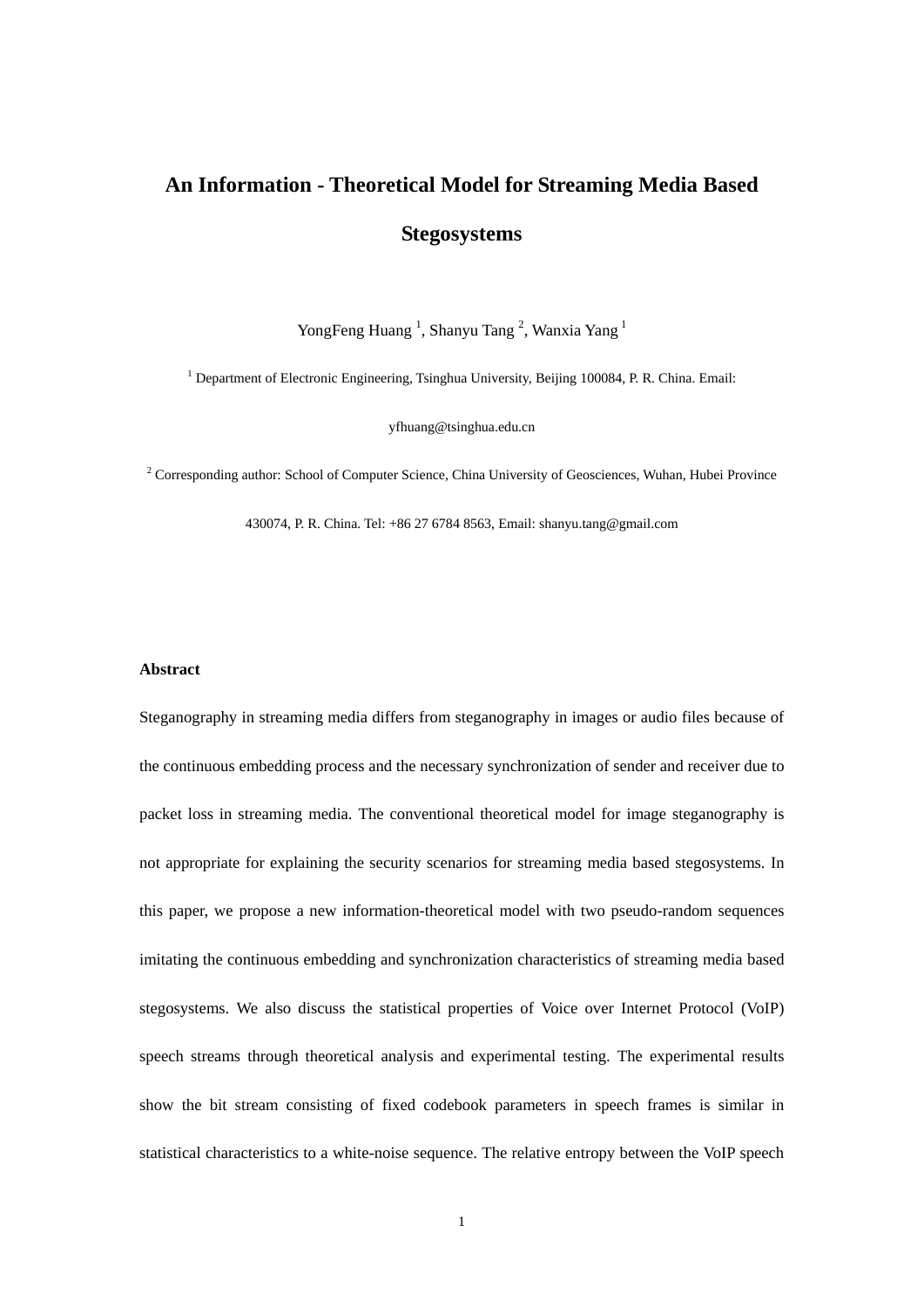# **An Information - Theoretical Model for Streaming Media Based Stegosystems**

YongFeng Huang<sup>1</sup>, Shanyu Tang<sup>2</sup>, Wanxia Yang<sup>1</sup>

<sup>1</sup> Department of Electronic Engineering, Tsinghua University, Beijing 100084, P. R. China. Email:

yfhuang@tsinghua.edu.cn

 $2^2$  Corresponding author: School of Computer Science, China University of Geosciences, Wuhan, Hubei Province

430074, P. R. China. Tel: +86 27 6784 8563, Email: shanyu.tang@gmail.com

#### **Abstract**

Steganography in streaming media differs from steganography in images or audio files because of the continuous embedding process and the necessary synchronization of sender and receiver due to packet loss in streaming media. The conventional theoretical model for image steganography is not appropriate for explaining the security scenarios for streaming media based stegosystems. In this paper, we propose a new information-theoretical model with two pseudo-random sequences imitating the continuous embedding and synchronization characteristics of streaming media based stegosystems. We also discuss the statistical properties of Voice over Internet Protocol (VoIP) speech streams through theoretical analysis and experimental testing. The experimental results show the bit stream consisting of fixed codebook parameters in speech frames is similar in statistical characteristics to a white-noise sequence. The relative entropy between the VoIP speech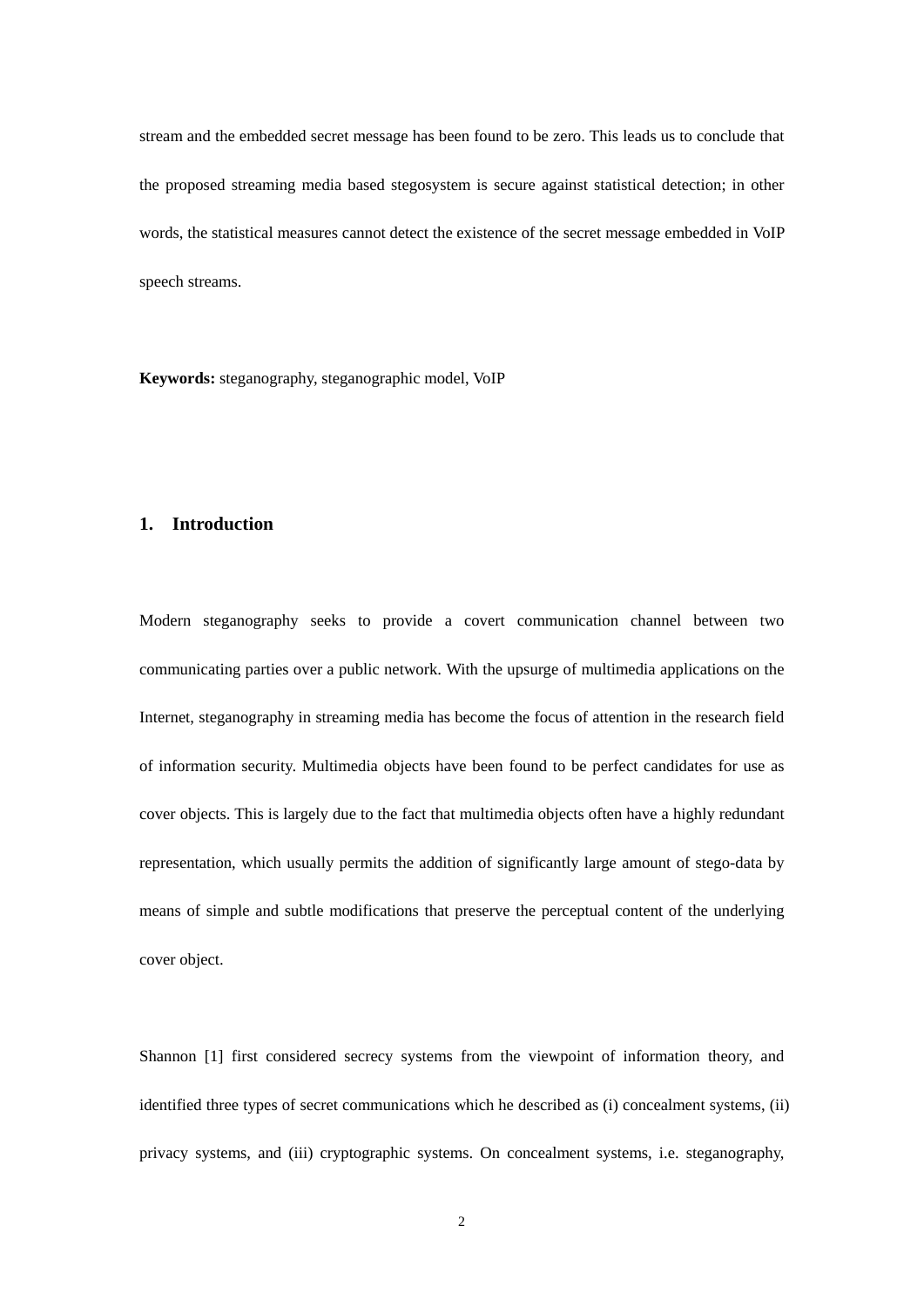stream and the embedded secret message has been found to be zero. This leads us to conclude that the proposed streaming media based stegosystem is secure against statistical detection; in other words, the statistical measures cannot detect the existence of the secret message embedded in VoIP speech streams.

**Keywords:** steganography, steganographic model, VoIP

# **1. Introduction**

Modern steganography seeks to provide a covert communication channel between two communicating parties over a public network. With the upsurge of multimedia applications on the Internet, steganography in streaming media has become the focus of attention in the research field of information security. Multimedia objects have been found to be perfect candidates for use as cover objects. This is largely due to the fact that multimedia objects often have a highly redundant representation, which usually permits the addition of significantly large amount of stego-data by means of simple and subtle modifications that preserve the perceptual content of the underlying cover object.

Shannon [1] first considered secrecy systems from the viewpoint of information theory, and identified three types of secret communications which he described as (i) concealment systems, (ii) privacy systems, and (iii) cryptographic systems. On concealment systems, i.e. steganography,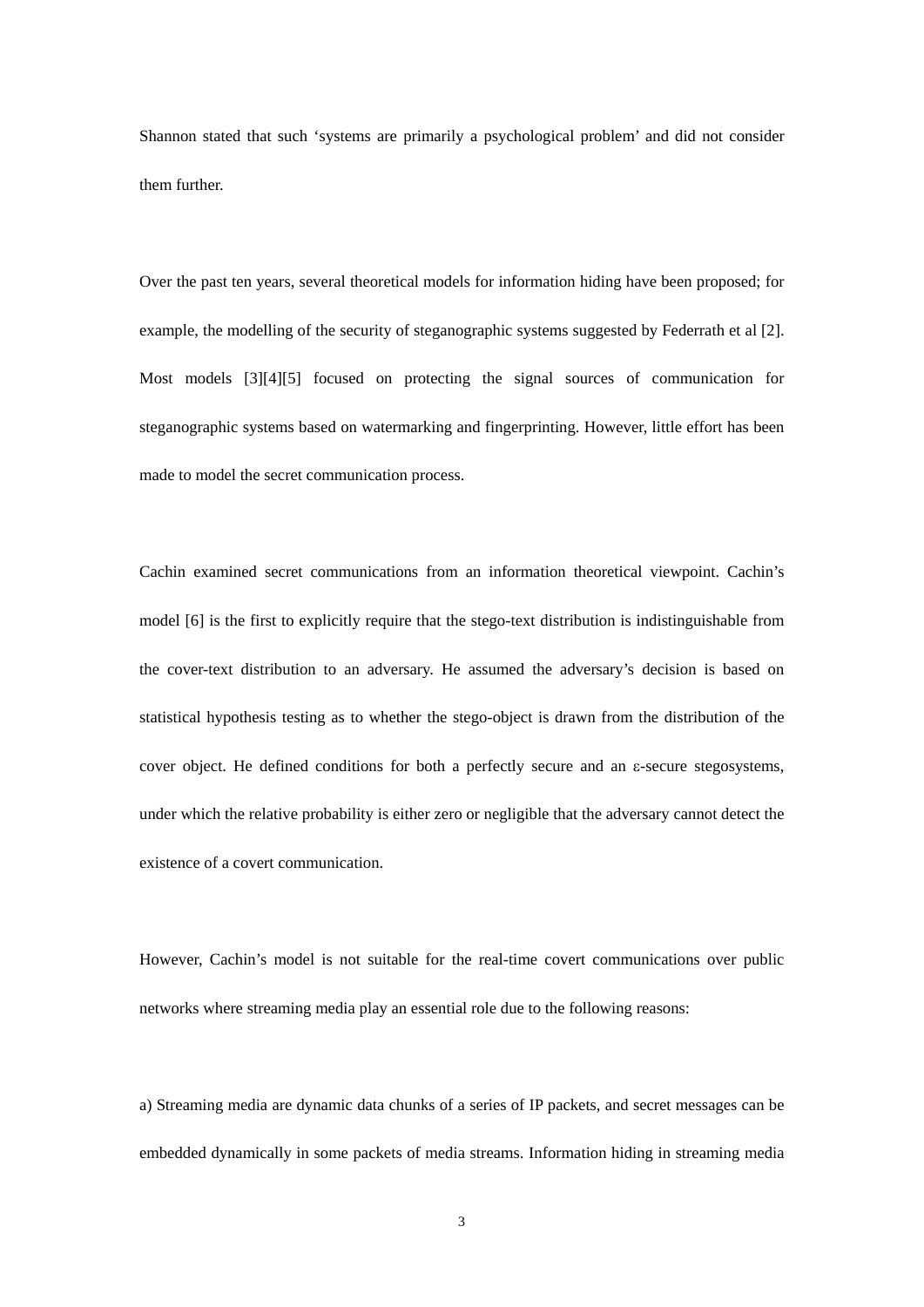Shannon stated that such 'systems are primarily a psychological problem' and did not consider them further.

Over the past ten years, several theoretical models for information hiding have been proposed; for example, the modelling of the security of steganographic systems suggested by Federrath et al [2]. Most models [3][4][5] focused on protecting the signal sources of communication for steganographic systems based on watermarking and fingerprinting. However, little effort has been made to model the secret communication process.

Cachin examined secret communications from an information theoretical viewpoint. Cachin's model [6] is the first to explicitly require that the stego-text distribution is indistinguishable from the cover-text distribution to an adversary. He assumed the adversary's decision is based on statistical hypothesis testing as to whether the stego-object is drawn from the distribution of the cover object. He defined conditions for both a perfectly secure and an  $\varepsilon$ -secure stegosystems, under which the relative probability is either zero or negligible that the adversary cannot detect the existence of a covert communication.

However, Cachin's model is not suitable for the real-time covert communications over public networks where streaming media play an essential role due to the following reasons:

a) Streaming media are dynamic data chunks of a series of IP packets, and secret messages can be embedded dynamically in some packets of media streams. Information hiding in streaming media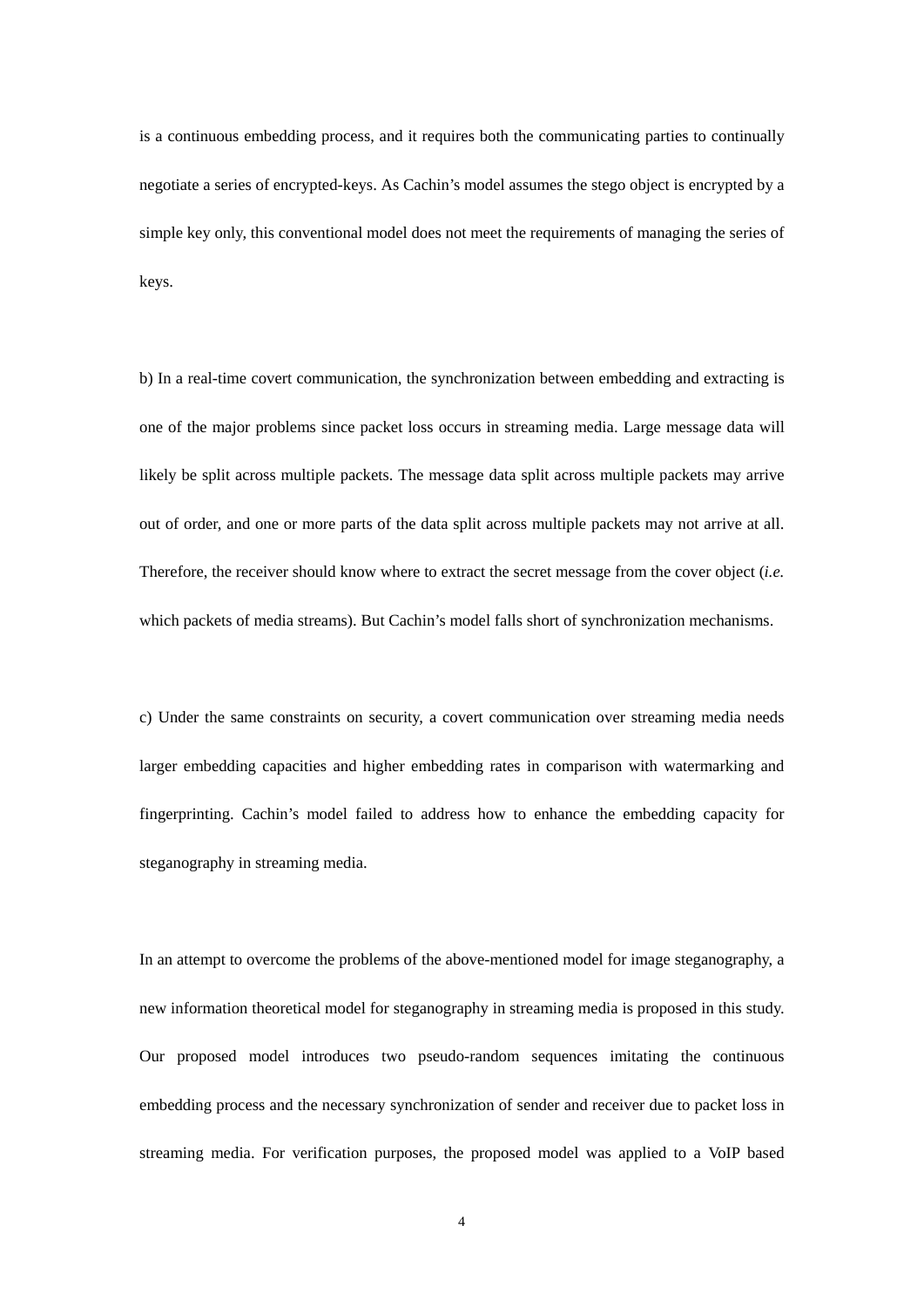is a continuous embedding process, and it requires both the communicating parties to continually negotiate a series of encrypted-keys. As Cachin's model assumes the stego object is encrypted by a simple key only, this conventional model does not meet the requirements of managing the series of keys.

b) In a real-time covert communication, the synchronization between embedding and extracting is one of the major problems since packet loss occurs in streaming media. Large message data will likely be split across multiple packets. The message data split across multiple packets may arrive out of order, and one or more parts of the data split across multiple packets may not arrive at all. Therefore, the receiver should know where to extract the secret message from the cover object (*i.e.* which packets of media streams). But Cachin's model falls short of synchronization mechanisms.

c) Under the same constraints on security, a covert communication over streaming media needs larger embedding capacities and higher embedding rates in comparison with watermarking and fingerprinting. Cachin's model failed to address how to enhance the embedding capacity for steganography in streaming media.

In an attempt to overcome the problems of the above-mentioned model for image steganography, a new information theoretical model for steganography in streaming media is proposed in this study. Our proposed model introduces two pseudo-random sequences imitating the continuous embedding process and the necessary synchronization of sender and receiver due to packet loss in streaming media. For verification purposes, the proposed model was applied to a VoIP based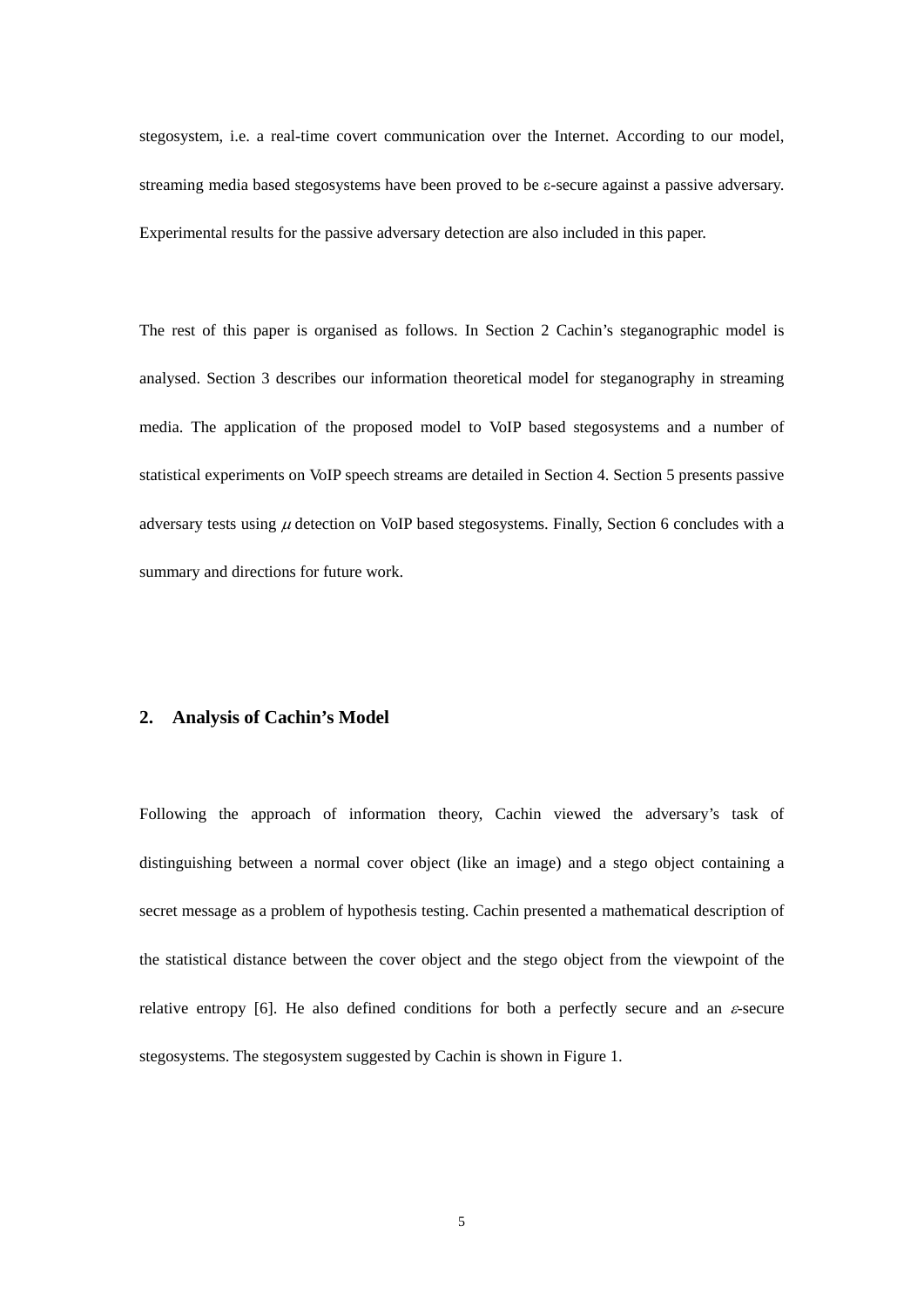stegosystem, i.e. a real-time covert communication over the Internet. According to our model, streaming media based stegosystems have been proved to be  $\varepsilon$ -secure against a passive adversary. Experimental results for the passive adversary detection are also included in this paper.

The rest of this paper is organised as follows. In Section 2 Cachin's steganographic model is analysed. Section 3 describes our information theoretical model for steganography in streaming media. The application of the proposed model to VoIP based stegosystems and a number of statistical experiments on VoIP speech streams are detailed in Section 4. Section 5 presents passive adversary tests using  $\mu$  detection on VoIP based stegosystems. Finally, Section 6 concludes with a summary and directions for future work.

#### **2. Analysis of Cachin's Model**

Following the approach of information theory, Cachin viewed the adversary's task of distinguishing between a normal cover object (like an image) and a stego object containing a secret message as a problem of hypothesis testing. Cachin presented a mathematical description of the statistical distance between the cover object and the stego object from the viewpoint of the relative entropy [6]. He also defined conditions for both a perfectly secure and an  $\varepsilon$ -secure stegosystems. The stegosystem suggested by Cachin is shown in Figure 1.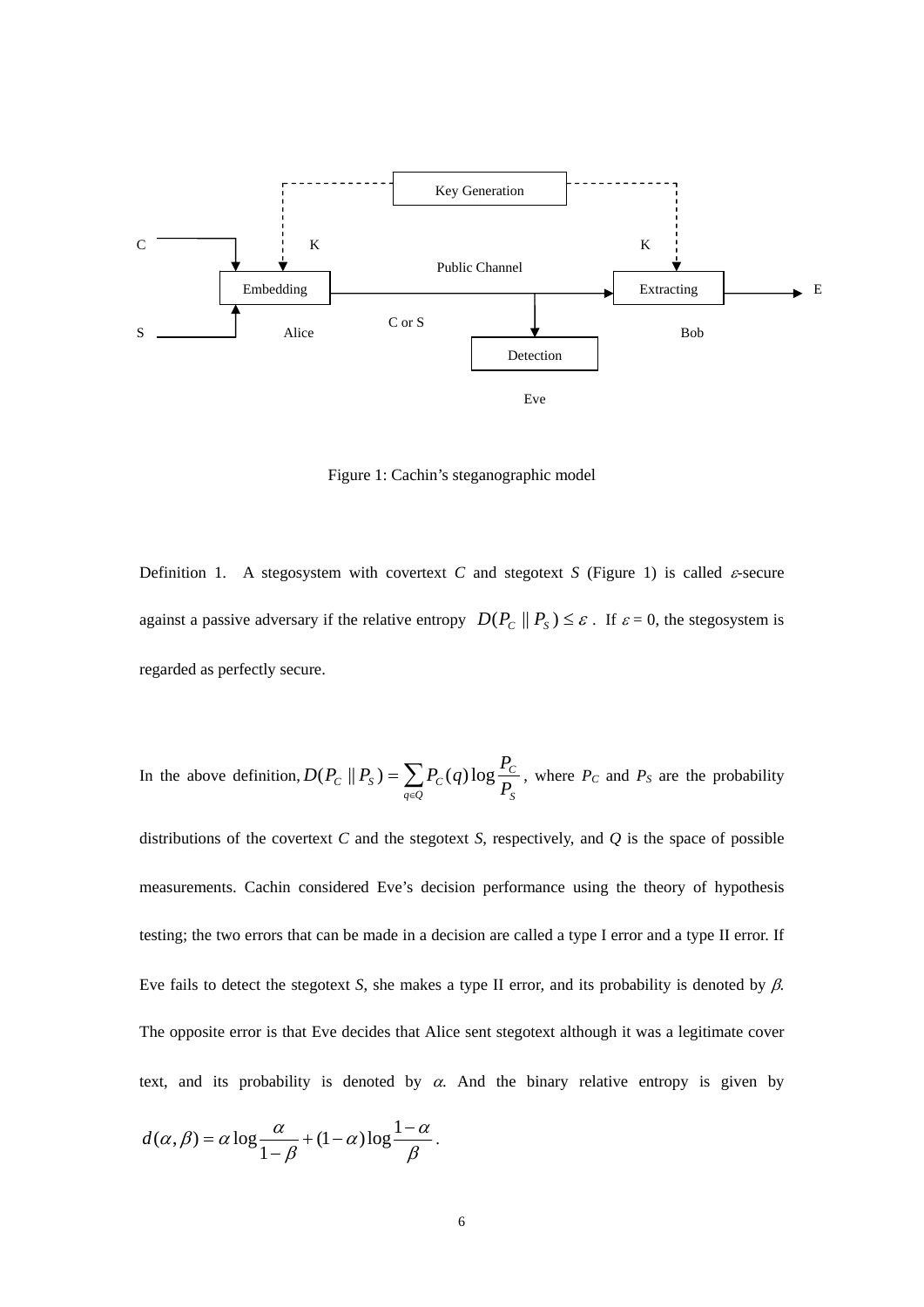

Figure 1: Cachin's steganographic model

Definition 1. A stegosystem with covertext *C* and stegotext *S* (Figure 1) is called  $\varepsilon$ -secure against a passive adversary if the relative entropy  $D(P_C || P_S) \leq \varepsilon$ . If  $\varepsilon = 0$ , the stegosystem is regarded as perfectly secure.

In the above definition, 
$$
D(P_C \parallel P_S) = \sum_{q \in Q} P_C(q) \log \frac{P_C}{P_S}
$$
, where  $P_C$  and  $P_S$  are the probability

distributions of the covertext *C* and the stegotext *S*, respectively, and *Q* is the space of possible measurements. Cachin considered Eve's decision performance using the theory of hypothesis testing; the two errors that can be made in a decision are called a type I error and a type II error. If Eve fails to detect the stegotext *S*, she makes a type II error, and its probability is denoted by  $\beta$ . The opposite error is that Eve decides that Alice sent stegotext although it was a legitimate cover text, and its probability is denoted by  $\alpha$ . And the binary relative entropy is given by

$$
d(\alpha, \beta) = \alpha \log \frac{\alpha}{1-\beta} + (1-\alpha) \log \frac{1-\alpha}{\beta}.
$$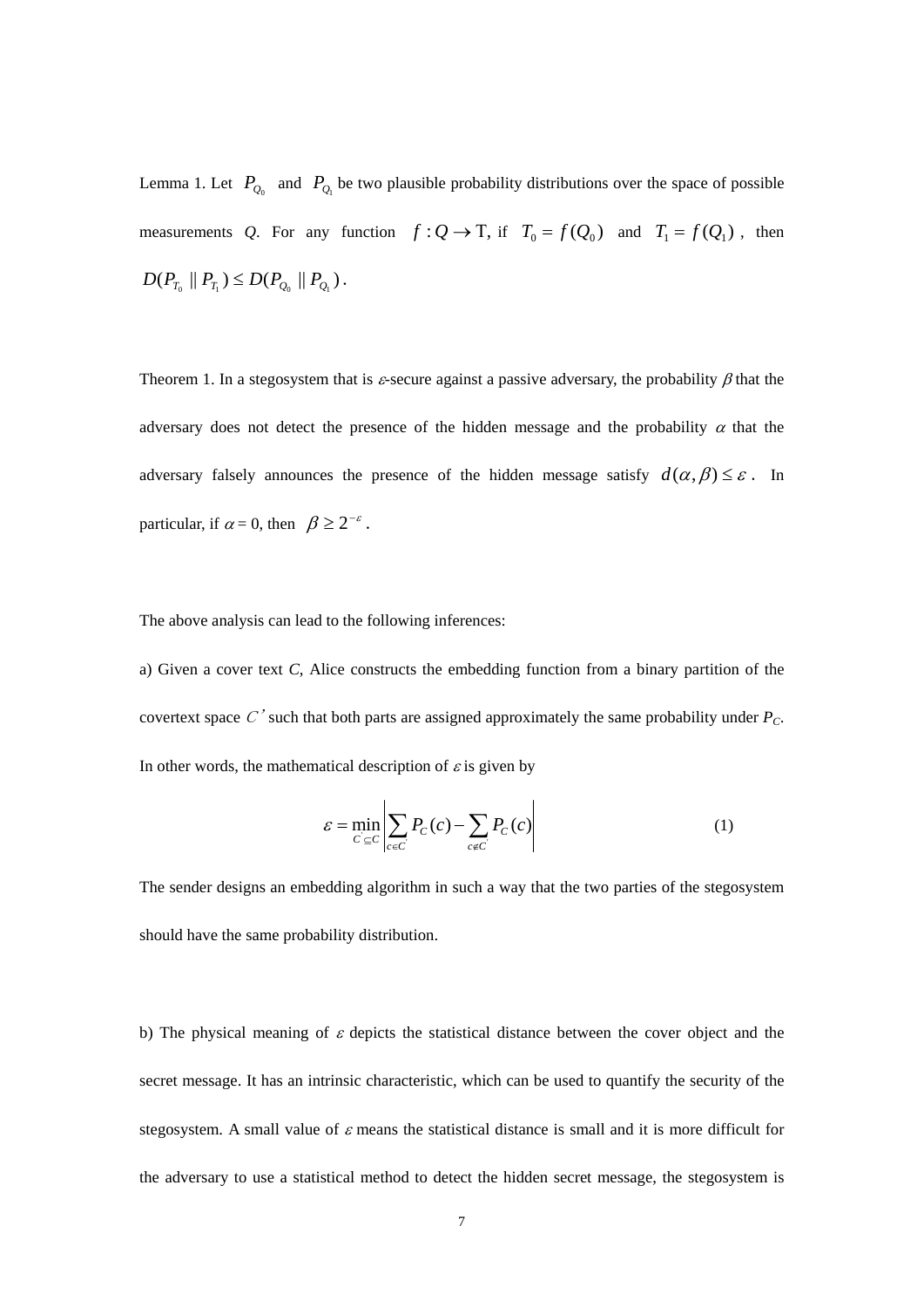Lemma 1. Let  $P_{Q_0}$  and  $P_{Q_1}$  be two plausible probability distributions over the space of possible measurements *Q*. For any function  $f: Q \to T$ , if  $T_0 = f(Q_0)$  and  $T_1 = f(Q_1)$ , then  $D(P_{T_0} || P_{T_1}) \leq D(P_{Q_0} || P_{Q_1}).$ 

Theorem 1. In a stegosystem that is  $\varepsilon$ -secure against a passive adversary, the probability  $\beta$  that the adversary does not detect the presence of the hidden message and the probability  $\alpha$  that the adversary falsely announces the presence of the hidden message satisfy  $d(\alpha, \beta) \leq \varepsilon$ . In particular, if  $\alpha = 0$ , then  $\beta \geq 2^{-\varepsilon}$ .

The above analysis can lead to the following inferences:

a) Given a cover text *C*, Alice constructs the embedding function from a binary partition of the covertext space  $C'$  such that both parts are assigned approximately the same probability under  $P_C$ . In other words, the mathematical description of  $\varepsilon$  is given by

$$
\varepsilon = \min_{C \subseteq C} \left| \sum_{c \in C} P_C(c) - \sum_{c \notin C} P_C(c) \right| \tag{1}
$$

The sender designs an embedding algorithm in such a way that the two parties of the stegosystem should have the same probability distribution.

b) The physical meaning of  $\varepsilon$  depicts the statistical distance between the cover object and the secret message. It has an intrinsic characteristic, which can be used to quantify the security of the stegosystem. A small value of  $\varepsilon$  means the statistical distance is small and it is more difficult for the adversary to use a statistical method to detect the hidden secret message, the stegosystem is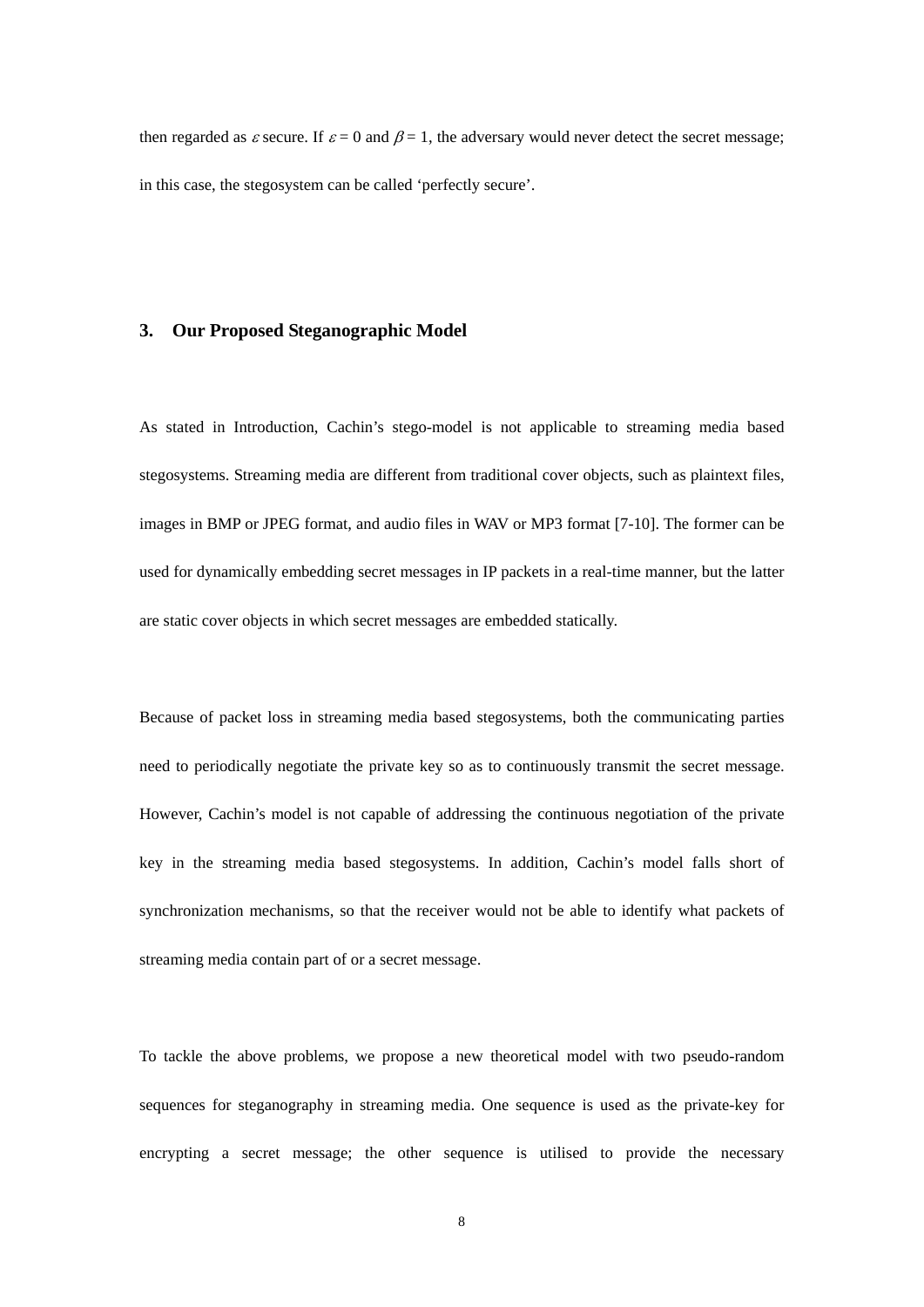then regarded as  $\varepsilon$  secure. If  $\varepsilon = 0$  and  $\beta = 1$ , the adversary would never detect the secret message; in this case, the stegosystem can be called 'perfectly secure'.

### **3. Our Proposed Steganographic Model**

As stated in Introduction, Cachin's stego-model is not applicable to streaming media based stegosystems. Streaming media are different from traditional cover objects, such as plaintext files, images in BMP or JPEG format, and audio files in WAV or MP3 format [7-10]. The former can be used for dynamically embedding secret messages in IP packets in a real-time manner, but the latter are static cover objects in which secret messages are embedded statically.

Because of packet loss in streaming media based stegosystems, both the communicating parties need to periodically negotiate the private key so as to continuously transmit the secret message. However, Cachin's model is not capable of addressing the continuous negotiation of the private key in the streaming media based stegosystems. In addition, Cachin's model falls short of synchronization mechanisms, so that the receiver would not be able to identify what packets of streaming media contain part of or a secret message.

To tackle the above problems, we propose a new theoretical model with two pseudo-random sequences for steganography in streaming media. One sequence is used as the private-key for encrypting a secret message; the other sequence is utilised to provide the necessary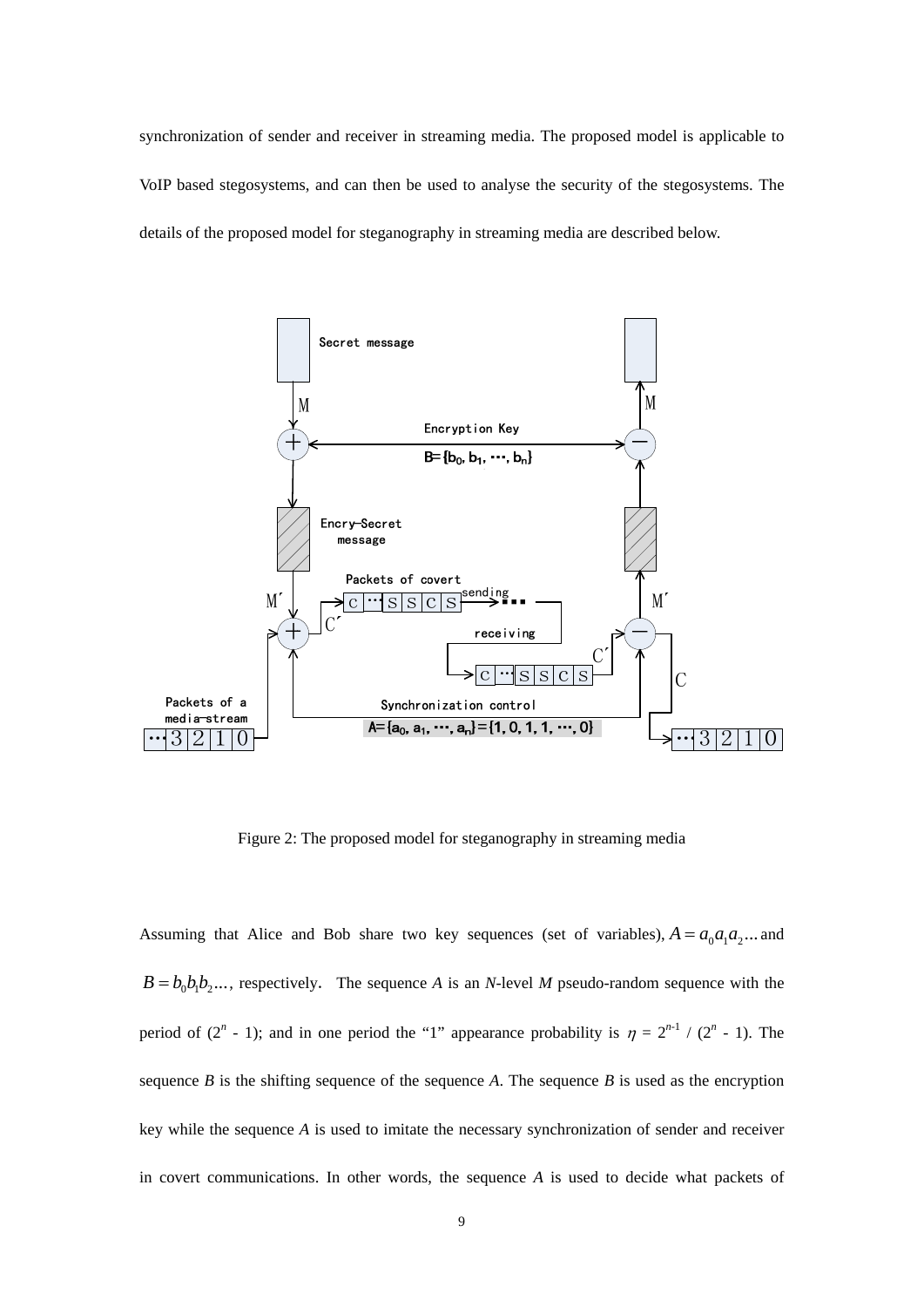synchronization of sender and receiver in streaming media. The proposed model is applicable to VoIP based stegosystems, and can then be used to analyse the security of the stegosystems. The details of the proposed model for steganography in streaming media are described below.



Figure 2: The proposed model for steganography in streaming media

Assuming that Alice and Bob share two key sequences (set of variables),  $A = a_0 a_1 a_2 ...$  and  $B = b_0 b_1 b_2 \dots$ , respectively. The sequence *A* is an *N*-level *M* pseudo-random sequence with the period of  $(2^n - 1)$ ; and in one period the "1" appearance probability is  $\eta = 2^{n-1} / (2^n - 1)$ . The sequence  $B$  is the shifting sequence of the sequence  $A$ . The sequence  $B$  is used as the encryption key while the sequence *A* is used to imitate the necessary synchronization of sender and receiver in covert communications. In other words, the sequence *A* is used to decide what packets of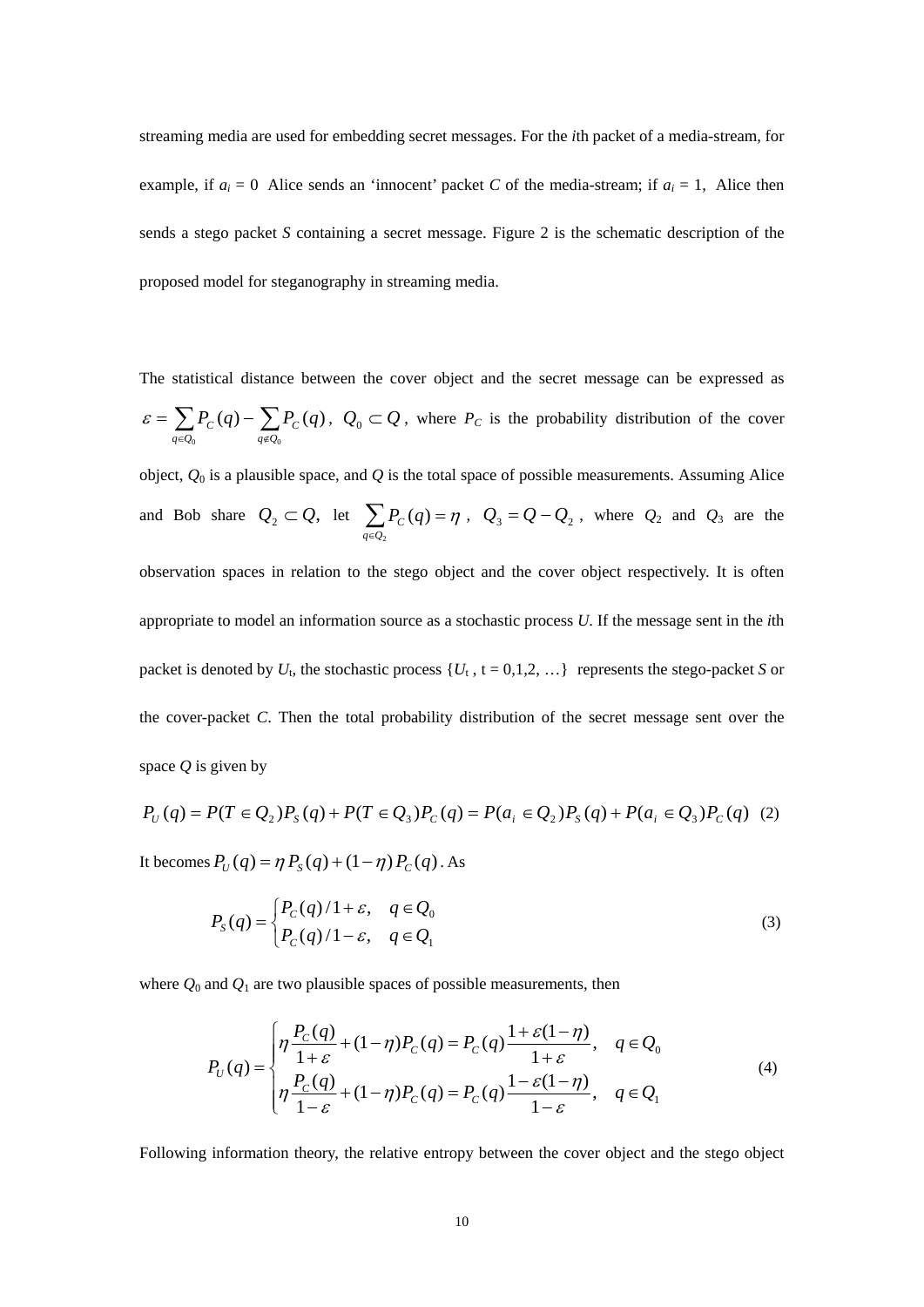streaming media are used for embedding secret messages. For the *i*th packet of a media-stream, for example, if  $a_i = 0$  Alice sends an 'innocent' packet *C* of the media-stream; if  $a_i = 1$ , Alice then sends a stego packet *S* containing a secret message. Figure 2 is the schematic description of the proposed model for steganography in streaming media.

The statistical distance between the cover object and the secret message can be expressed as  $=\sum_{q\in Q_0}\! P_{C}(q)-\sum_{q\notin Q_0}$ 0  $q \notin Q_0$  $(q) - \sum P_c(q)$  $q \in Q_0$  *q*  $\in Q$  $\mathcal{E} = \sum P_c(q) - \sum P_c(q)$ ,  $Q_0 \subset Q$ , where  $P_c$  is the probability distribution of the cover

object,  $Q_0$  is a plausible space, and  $Q$  is the total space of possible measurements. Assuming Alice and Bob share  $Q_2 \subset Q$ , let  $\sum_{q \in Q_2} P_C(q) =$ 2  $(q)$ *q Q*  $P_c(q) = \eta$ ,  $Q_3 = Q - Q_2$ , where  $Q_2$  and  $Q_3$  are the observation spaces in relation to the stego object and the cover object respectively. It is often appropriate to model an information source as a stochastic process *U*. If the message sent in the *i*th packet is denoted by  $U_t$ , the stochastic process  $\{U_t, t = 0,1,2,...\}$  represents the stego-packet *S* or the cover-packet *C*. Then the total probability distribution of the secret message sent over the space *Q* is given by

$$
P_U(q) = P(T \in Q_2)P_S(q) + P(T \in Q_3)P_C(q) = P(a_i \in Q_2)P_S(q) + P(a_i \in Q_3)P_C(q)
$$
 (2)

It becomes  $P_{U}(q) = \eta P_{S}(q) + (1 - \eta) P_{C}(q)$ . As

$$
P_{S}(q) = \begin{cases} P_{C}(q)/1 + \varepsilon, & q \in \mathcal{Q}_{0} \\ P_{C}(q)/1 - \varepsilon, & q \in \mathcal{Q}_{1} \end{cases}
$$
 (3)

where  $Q_0$  and  $Q_1$  are two plausible spaces of possible measurements, then

$$
P_U(q) = \begin{cases} \eta \frac{P_C(q)}{1+\varepsilon} + (1-\eta)P_C(q) = P_C(q) \frac{1+\varepsilon(1-\eta)}{1+\varepsilon}, & q \in Q_0 \\ \eta \frac{P_C(q)}{1-\varepsilon} + (1-\eta)P_C(q) = P_C(q) \frac{1-\varepsilon(1-\eta)}{1-\varepsilon}, & q \in Q_1 \end{cases}
$$
(4)

Following information theory, the relative entropy between the cover object and the stego object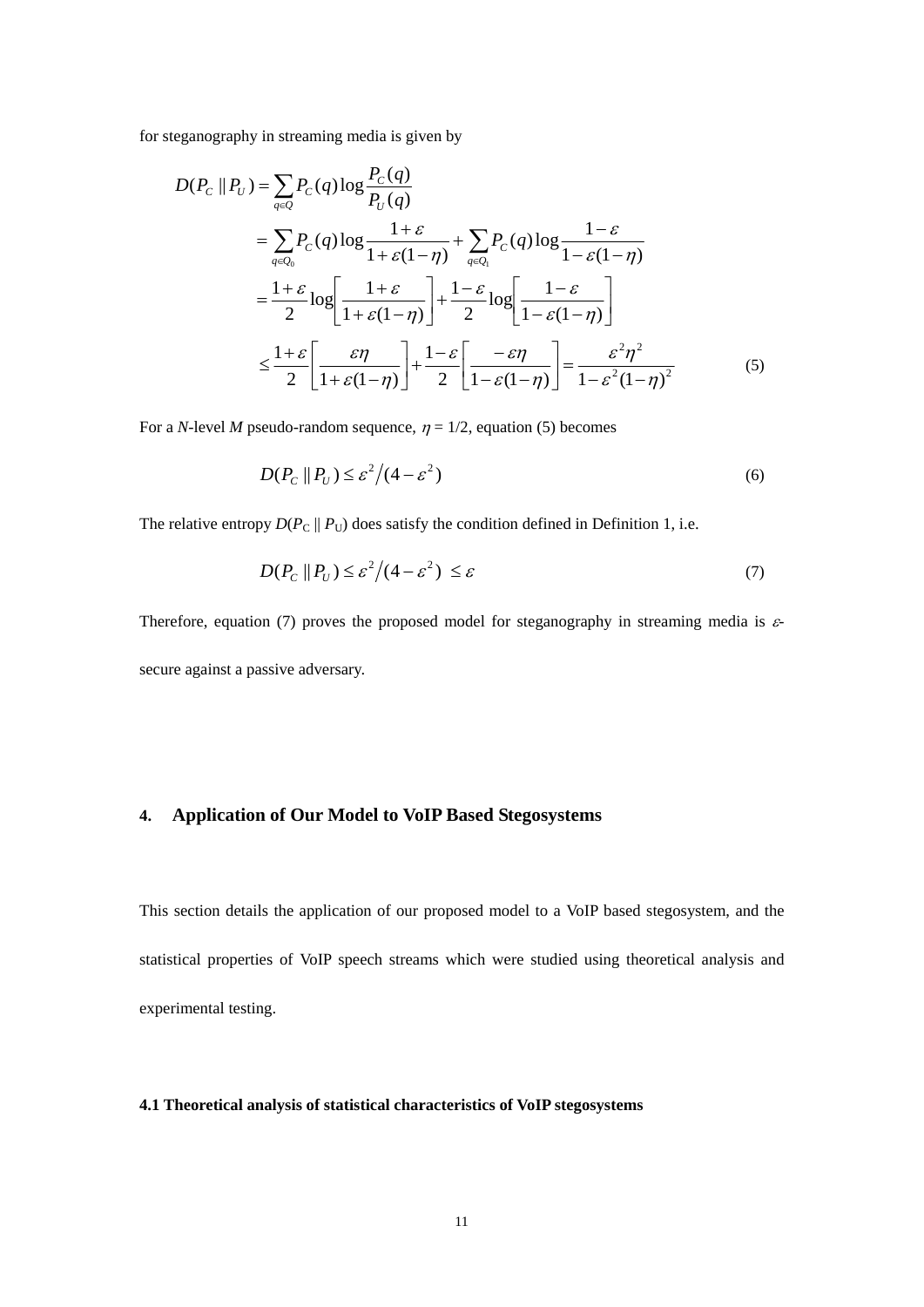for steganography in streaming media is given by

$$
D(P_C || P_U) = \sum_{q \in Q} P_C(q) \log \frac{P_C(q)}{P_U(q)}
$$
  
= 
$$
\sum_{q \in Q_0} P_C(q) \log \frac{1+\varepsilon}{1+\varepsilon(1-\eta)} + \sum_{q \in Q_1} P_C(q) \log \frac{1-\varepsilon}{1-\varepsilon(1-\eta)}
$$
  
= 
$$
\frac{1+\varepsilon}{2} \log \left[ \frac{1+\varepsilon}{1+\varepsilon(1-\eta)} \right] + \frac{1-\varepsilon}{2} \log \left[ \frac{1-\varepsilon}{1-\varepsilon(1-\eta)} \right]
$$
  

$$
\leq \frac{1+\varepsilon}{2} \left[ \frac{\varepsilon \eta}{1+\varepsilon(1-\eta)} \right] + \frac{1-\varepsilon}{2} \left[ \frac{-\varepsilon \eta}{1-\varepsilon(1-\eta)} \right] = \frac{\varepsilon^2 \eta^2}{1-\varepsilon^2 (1-\eta)^2}
$$
(5)

For a *N*-level *M* pseudo-random sequence,  $\eta = 1/2$ , equation (5) becomes

$$
D(P_C \parallel P_U) \le \varepsilon^2 / (4 - \varepsilon^2)
$$
\n<sup>(6)</sup>

The relative entropy  $D(P_C || P_U)$  does satisfy the condition defined in Definition 1, i.e.

$$
D(P_C \parallel P_U) \le \varepsilon^2 / (4 - \varepsilon^2) \le \varepsilon \tag{7}
$$

Therefore, equation (7) proves the proposed model for steganography in streaming media is  $\varepsilon$ secure against a passive adversary.

# **4. Application of Our Model to VoIP Based Stegosystems**

This section details the application of our proposed model to a VoIP based stegosystem, and the statistical properties of VoIP speech streams which were studied using theoretical analysis and experimental testing.

#### **4.1 Theoretical analysis of statistical characteristics of VoIP stegosystems**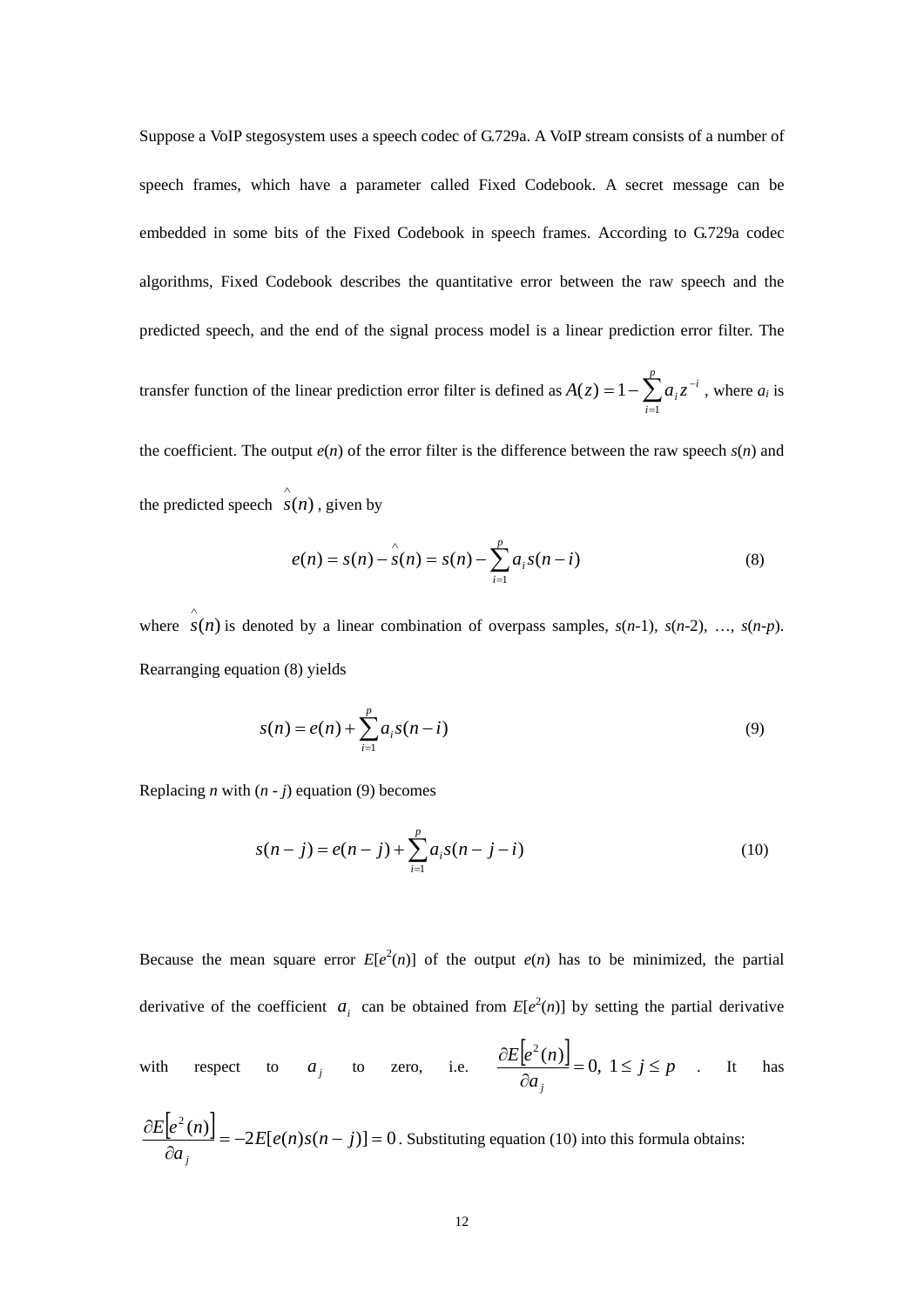Suppose a VoIP stegosystem uses a speech codec of G.729a. A VoIP stream consists of a number of speech frames, which have a parameter called Fixed Codebook. A secret message can be embedded in some bits of the Fixed Codebook in speech frames. According to G.729a codec algorithms, Fixed Codebook describes the quantitative error between the raw speech and the predicted speech, and the end of the signal process model is a linear prediction error filter. The

transfer function of the linear prediction error filter is defined as  $A(z) = 1 - \sum_{i=1}^{p} a_i z^{-1}$ *i*  $A(z) = 1 - \sum a_i z^{-i}$ 1  $(z) = 1 - \sum a_i z^{-i}$ , where  $a_i$  is

the coefficient. The output  $e(n)$  of the error filter is the difference between the raw speech  $s(n)$  and the predicted speech  $\hat{s}(n)$ , given by

$$
e(n) = s(n) - \hat{s}(n) = s(n) - \sum_{i=1}^{p} a_i s(n-i)
$$
 (8)

where  $\hat{s}(n)$  is denoted by a linear combination of overpass samples,  $s(n-1)$ ,  $s(n-2)$ , ...,  $s(n-p)$ . Rearranging equation (8) yields

$$
s(n) = e(n) + \sum_{i=1}^{p} a_i s(n-i)
$$
\n(9)

Replacing *n* with  $(n - j)$  equation (9) becomes

$$
s(n-j) = e(n-j) + \sum_{i=1}^{p} a_i s(n-j-i)
$$
\n(10)

Because the mean square error  $E[e^2(n)]$  of the output  $e(n)$  has to be minimized, the partial derivative of the coefficient  $a_i$  can be obtained from  $E[e^2(n)]$  by setting the partial derivative

with respect to  $a_j$  to zero, i.e.  $\frac{\partial E[e^2(n)]}{\partial a_j} = 0, 1 \le j \le p$  $E|e^2(n$ *j*  $=0, 1 \leq j \leq$  $\widehat{o}$  $\frac{\partial E[e^2(n)]}{\partial n} = 0, 1 \le j \le p$  . It has

$$
\frac{\partial E[e^2(n)]}{\partial a_j} = -2E[e(n)s(n-j)] = 0.
$$
 Substituting equation (10) into this formula obtains: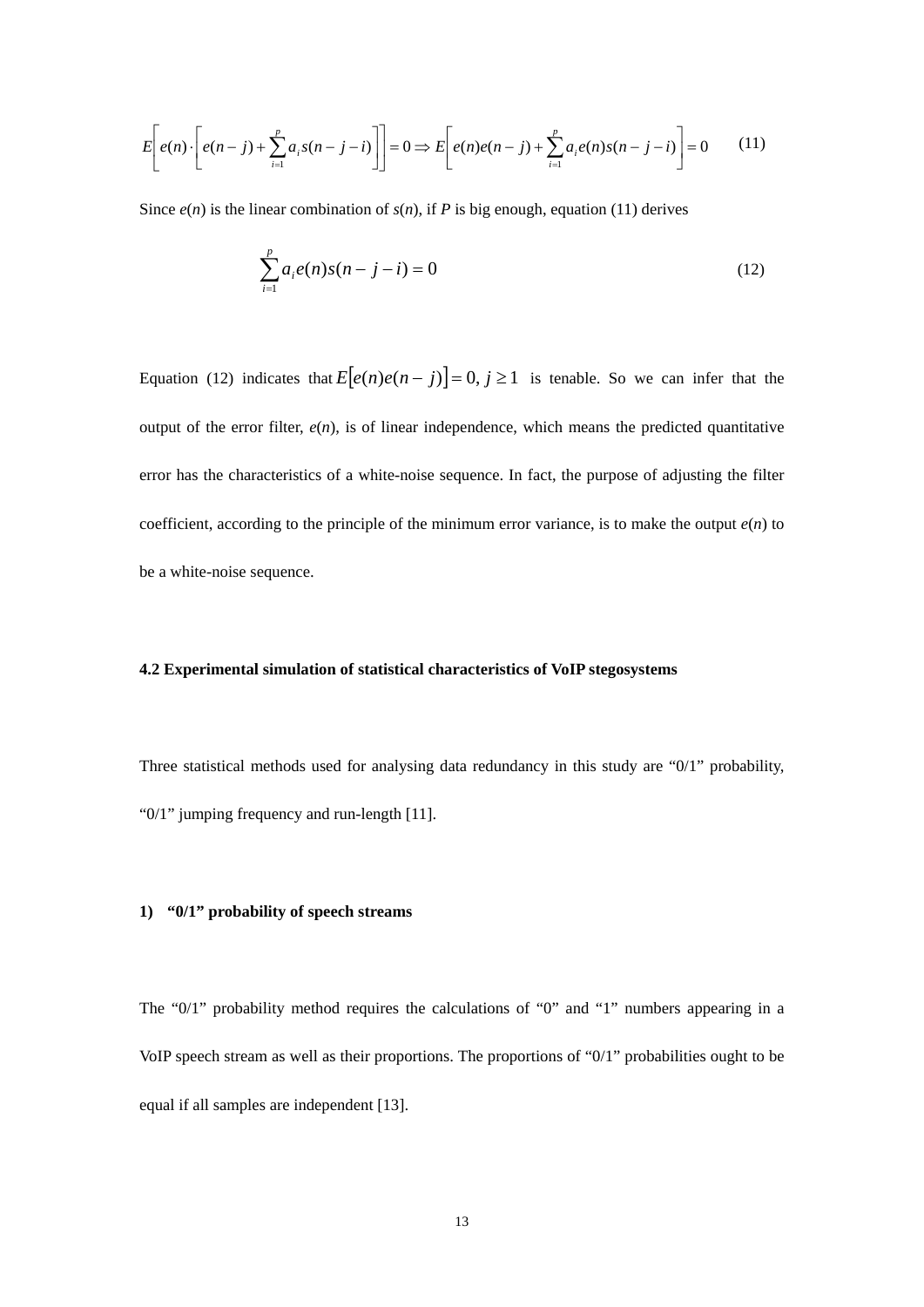$$
E\left[e(n)\cdot\left[e(n-j)+\sum_{i=1}^{p}a_{i}s(n-j-i)\right]\right]=0 \Rightarrow E\left[e(n)e(n-j)+\sum_{i=1}^{p}a_{i}e(n)s(n-j-i)\right]=0
$$
 (11)

Since  $e(n)$  is the linear combination of  $s(n)$ , if P is big enough, equation (11) derives

$$
\sum_{i=1}^{p} a_i e(n) s(n-j-i) = 0
$$
\n(12)

Equation (12) indicates that  $E[e(n)e(n-j)] = 0, j \ge 1$  is tenable. So we can infer that the output of the error filter,  $e(n)$ , is of linear independence, which means the predicted quantitative error has the characteristics of a white-noise sequence. In fact, the purpose of adjusting the filter coefficient, according to the principle of the minimum error variance, is to make the output  $e(n)$  to be a white-noise sequence.

#### **4.2 Experimental simulation of statistical characteristics of VoIP stegosystems**

Three statistical methods used for analysing data redundancy in this study are "0/1" probability, "0/1" jumping frequency and run-length [11].

#### **1) "0/1" probability of speech streams**

The "0/1" probability method requires the calculations of "0" and "1" numbers appearing in a VoIP speech stream as well as their proportions. The proportions of "0/1" probabilities ought to be equal if all samples are independent [13].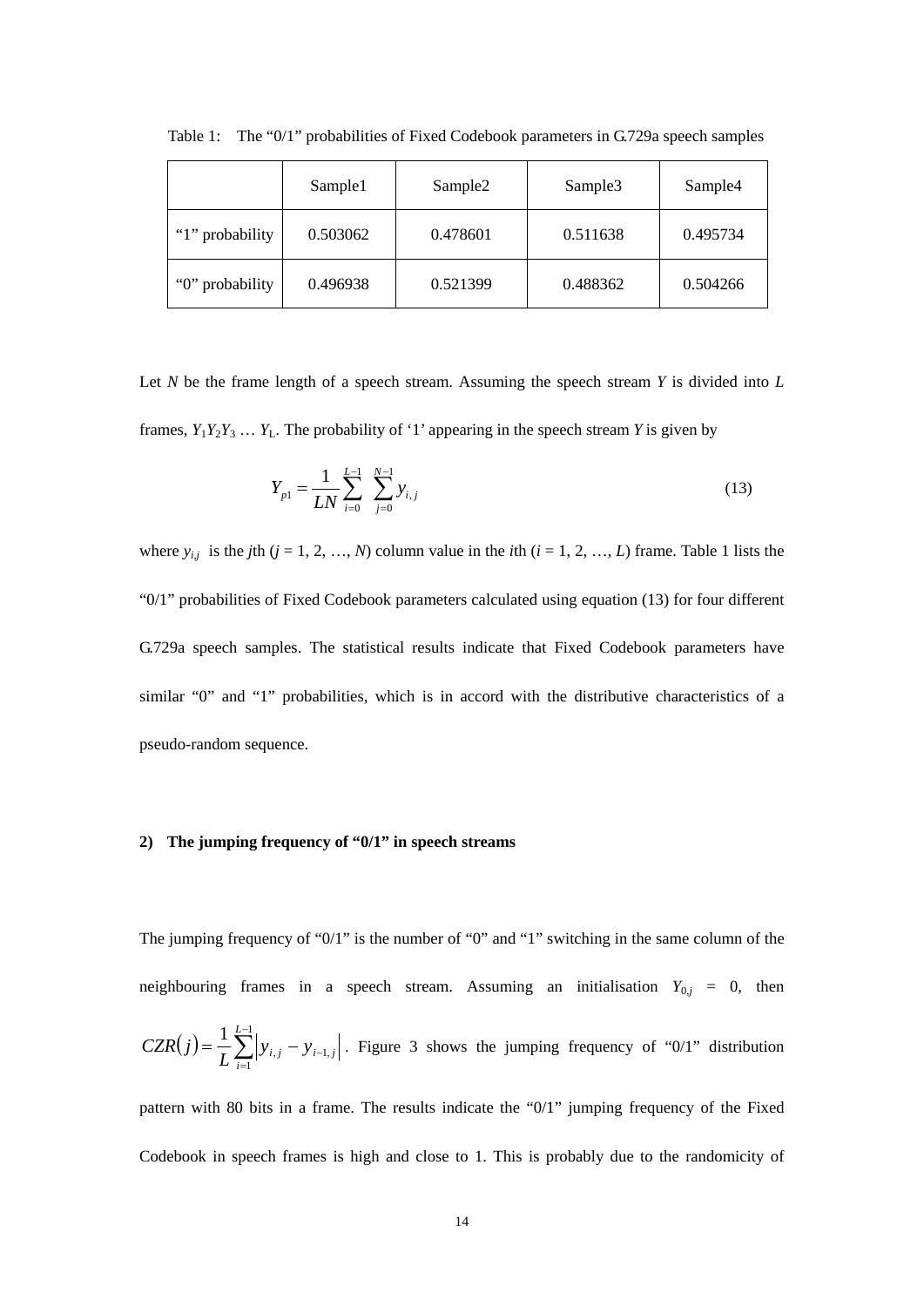|                 | Sample1  | Sample <sub>2</sub> | Sample <sub>3</sub> | Sample4  |
|-----------------|----------|---------------------|---------------------|----------|
| "1" probability | 0.503062 | 0.478601            | 0.511638            | 0.495734 |
| "0" probability | 0.496938 | 0.521399            | 0.488362            | 0.504266 |

Table 1: The "0/1" probabilities of Fixed Codebook parameters in G.729a speech samples

Let *N* be the frame length of a speech stream. Assuming the speech stream *Y* is divided into *L* frames,  $Y_1Y_2Y_3 \ldots Y_L$ . The probability of '1' appearing in the speech stream *Y* is given by

$$
Y_{p1} = \frac{1}{LN} \sum_{i=0}^{L-1} \sum_{j=0}^{N-1} y_{i,j}
$$
 (13)

where  $y_{i,j}$  is the *j*th (*j* = 1, 2, …, *N*) column value in the *i*th (*i* = 1, 2, …, *L*) frame. Table 1 lists the "0/1" probabilities of Fixed Codebook parameters calculated using equation (13) for four different G.729a speech samples. The statistical results indicate that Fixed Codebook parameters have similar "0" and "1" probabilities, which is in accord with the distributive characteristics of a pseudo-random sequence.

#### **2) The jumping frequency of "0/1" in speech streams**

The jumping frequency of "0/1" is the number of "0" and "1" switching in the same column of the neighbouring frames in a speech stream. Assuming an initialisation  $Y_{0,j} = 0$ , then  $(j) = \frac{1}{I} \sum_{i=1}^{L-1}$ =  $=\frac{1}{I}\sum_{i,j}y_{i,j}-y_{i-}$ 1 1  $, j$   $\mathcal{Y}_{i-1, j}$  $1\frac{L}{2}$  $CZR(j) = \frac{1}{L} \sum_{i=1}^{L} |y_{i,j} - y_{i-1,j}|$ . Figure 3 shows the jumping frequency of "0/1" distribution

pattern with 80 bits in a frame. The results indicate the "0/1" jumping frequency of the Fixed Codebook in speech frames is high and close to 1. This is probably due to the randomicity of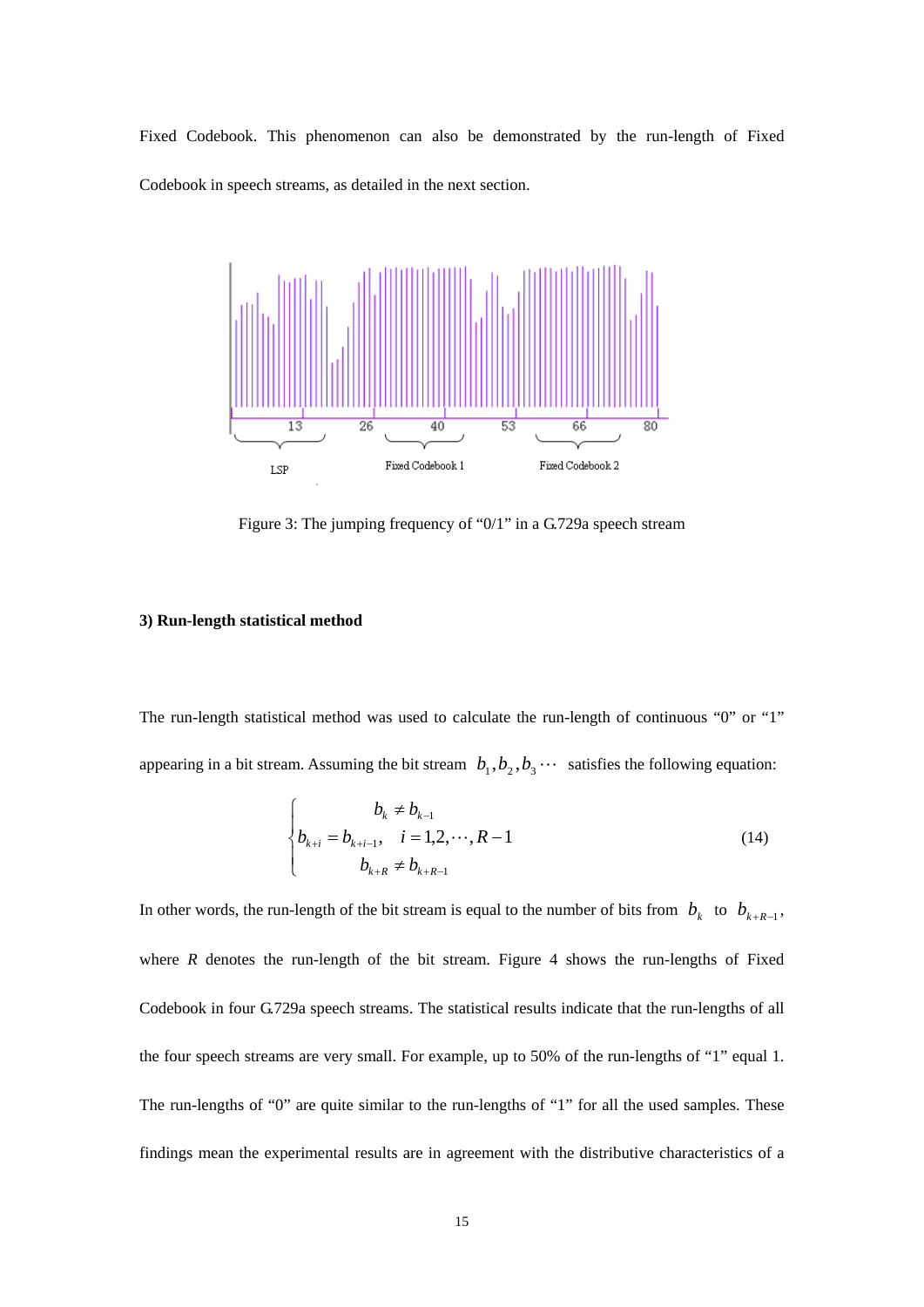Fixed Codebook. This phenomenon can also be demonstrated by the run-length of Fixed Codebook in speech streams, as detailed in the next section.



Figure 3: The jumping frequency of "0/1" in a G.729a speech stream

#### **3) Run-length statistical method**

The run-length statistical method was used to calculate the run-length of continuous "0" or "1" appearing in a bit stream. Assuming the bit stream  $b_1, b_2, b_3 \cdots$  satisfies the following equation:

$$
\begin{cases}\n b_k \neq b_{k-1} \\
b_{k+i} = b_{k+i-1}, \quad i = 1, 2, \cdots, R-1 \\
b_{k+R} \neq b_{k+R-1}\n\end{cases}
$$
\n(14)

In other words, the run-length of the bit stream is equal to the number of bits from  $b_k$  to  $b_{k+R-1}$ , where  $R$  denotes the run-length of the bit stream. Figure 4 shows the run-lengths of Fixed Codebook in four G.729a speech streams. The statistical results indicate that the run-lengths of all the four speech streams are very small. For example, up to 50% of the run-lengths of "1" equal 1. The run-lengths of "0" are quite similar to the run-lengths of "1" for all the used samples. These findings mean the experimental results are in agreement with the distributive characteristics of a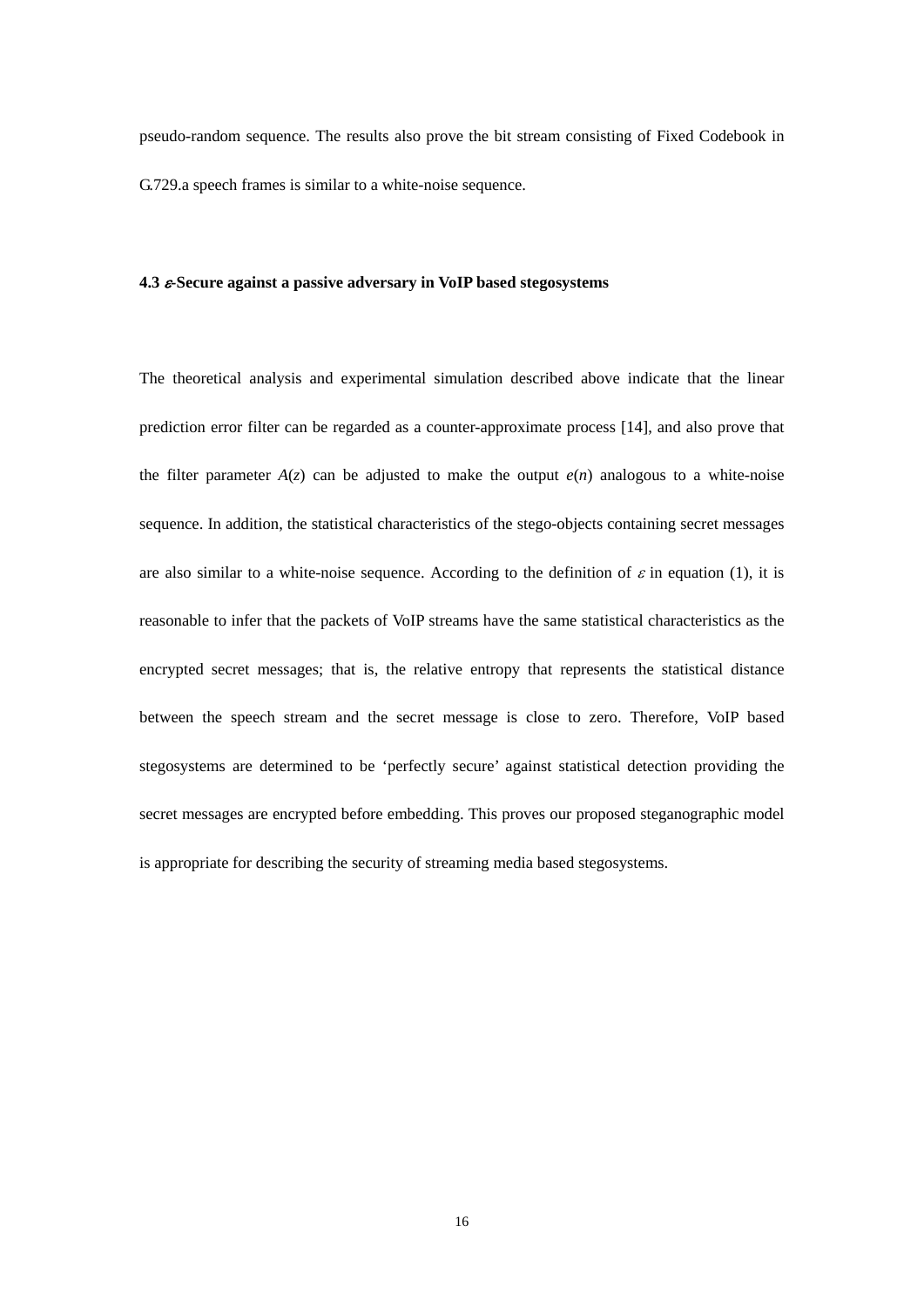pseudo-random sequence. The results also prove the bit stream consisting of Fixed Codebook in G.729.a speech frames is similar to a white-noise sequence.

#### **4.3** *-***Secure against a passive adversary in VoIP based stegosystems**

The theoretical analysis and experimental simulation described above indicate that the linear prediction error filter can be regarded as a counter-approximate process [14], and also prove that the filter parameter  $A(z)$  can be adjusted to make the output  $e(n)$  analogous to a white-noise sequence. In addition, the statistical characteristics of the stego-objects containing secret messages are also similar to a white-noise sequence. According to the definition of  $\varepsilon$  in equation (1), it is reasonable to infer that the packets of VoIP streams have the same statistical characteristics as the encrypted secret messages; that is, the relative entropy that represents the statistical distance between the speech stream and the secret message is close to zero. Therefore, VoIP based stegosystems are determined to be 'perfectly secure' against statistical detection providing the secret messages are encrypted before embedding. This proves our proposed steganographic model is appropriate for describing the security of streaming media based stegosystems.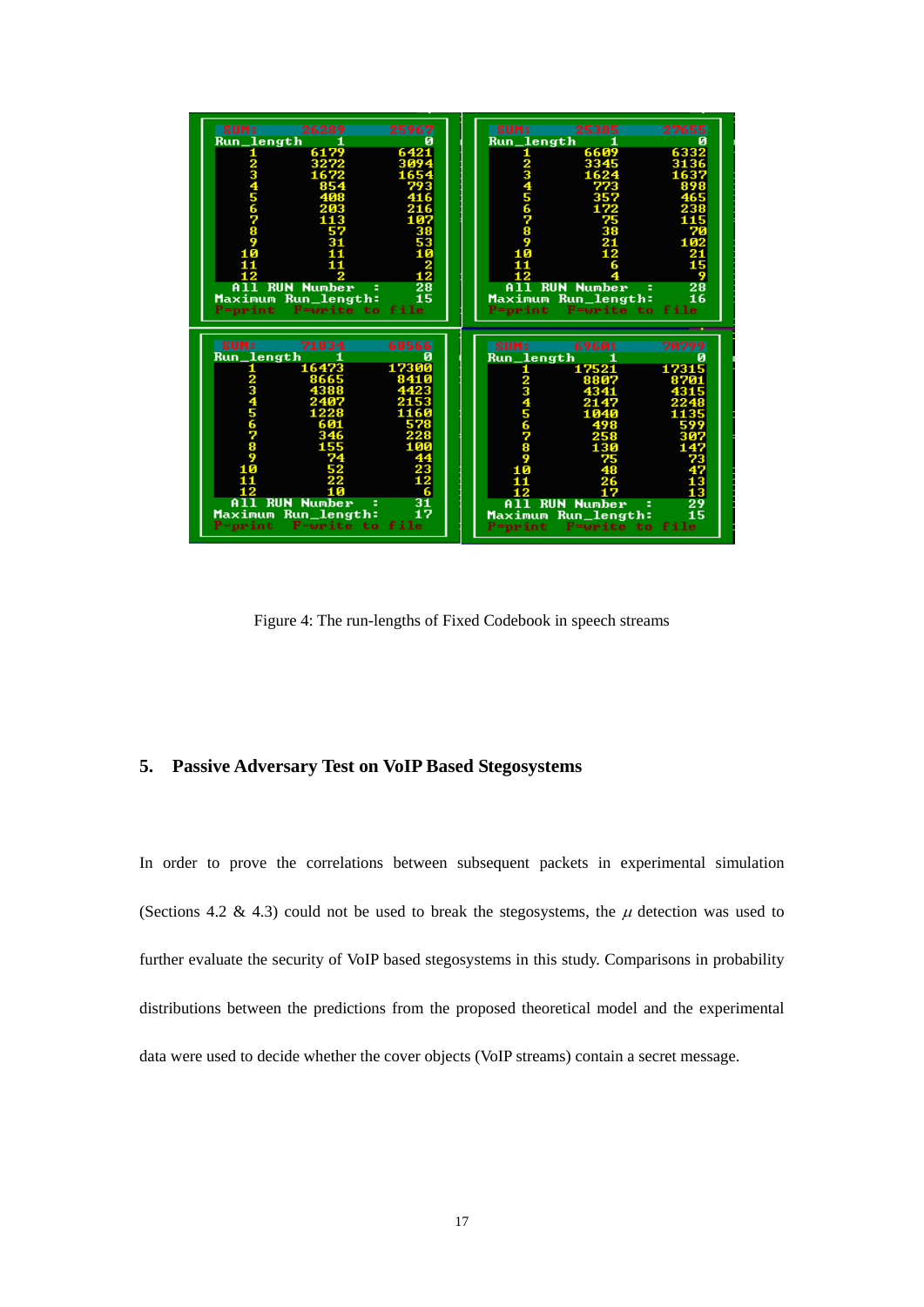| SUM:                                              | 26289                     | 25967<br>SUM:          | 25385                                            | 27655                 |
|---------------------------------------------------|---------------------------|------------------------|--------------------------------------------------|-----------------------|
| <u>Run_length</u>                                 | 6179                      | 6421                   | <u>Run_length</u><br>6609                        | 633                   |
|                                                   |                           | $\frac{1}{2}$          | 3345                                             |                       |
|                                                   |                           |                        |                                                  |                       |
|                                                   |                           |                        |                                                  |                       |
|                                                   |                           |                        |                                                  |                       |
|                                                   |                           |                        |                                                  |                       |
|                                                   |                           |                        |                                                  |                       |
| 45678                                             |                           | 456789                 |                                                  |                       |
|                                                   |                           |                        |                                                  |                       |
|                                                   |                           |                        |                                                  |                       |
|                                                   |                           | ū                      |                                                  |                       |
|                                                   |                           |                        |                                                  |                       |
|                                                   |                           |                        |                                                  |                       |
| <b>RUN Number</b>                                 | ÷                         | $\frac{28}{15}$        | <b>RUN Number</b>                                | Ξ                     |
| Maximum Run_length: 19<br>P=print F=write to file |                           |                        | Maximum Run_length: 1<br>P=print F=write to file | $\frac{19}{28}$<br>16 |
|                                                   |                           |                        |                                                  |                       |
|                                                   |                           |                        |                                                  |                       |
|                                                   |                           |                        |                                                  |                       |
|                                                   |                           |                        |                                                  |                       |
| SUM:                                              | 71834                     | 68566<br><b>SUM:</b>   | 69601                                            | 70799                 |
| Run_length                                        |                           |                        |                                                  |                       |
|                                                   | 16473                     | 17300<br>1             | Run_length<br>17521                              | 17315                 |
|                                                   | 8665                      |                        |                                                  |                       |
|                                                   |                           |                        |                                                  |                       |
|                                                   |                           |                        |                                                  |                       |
|                                                   |                           |                        |                                                  |                       |
|                                                   |                           |                        |                                                  |                       |
|                                                   |                           |                        |                                                  |                       |
|                                                   |                           |                        |                                                  |                       |
|                                                   |                           |                        |                                                  |                       |
| 567890                                            |                           | <b>Nandona</b><br>Book |                                                  |                       |
|                                                   |                           |                        |                                                  |                       |
|                                                   |                           |                        |                                                  | ă                     |
| <b>RUN</b>                                        | <b>Number</b><br>÷        |                        | <b>RUN</b>                                       |                       |
|                                                   |                           | $\frac{31}{17}$        | <b>Number</b>                                    |                       |
| Maximum Run_length:<br>print                      | to file<br><b>F=urite</b> | =print                 | Maximum Run_length:<br><b>F=write to file</b>    | $\frac{29}{15}$       |

Figure 4: The run-lengths of Fixed Codebook in speech streams

# **5. Passive Adversary Test on VoIP Based Stegosystems**

In order to prove the correlations between subsequent packets in experimental simulation (Sections 4.2 & 4.3) could not be used to break the stegosystems, the  $\mu$  detection was used to further evaluate the security of VoIP based stegosystems in this study. Comparisons in probability distributions between the predictions from the proposed theoretical model and the experimental data were used to decide whether the cover objects (VoIP streams) contain a secret message.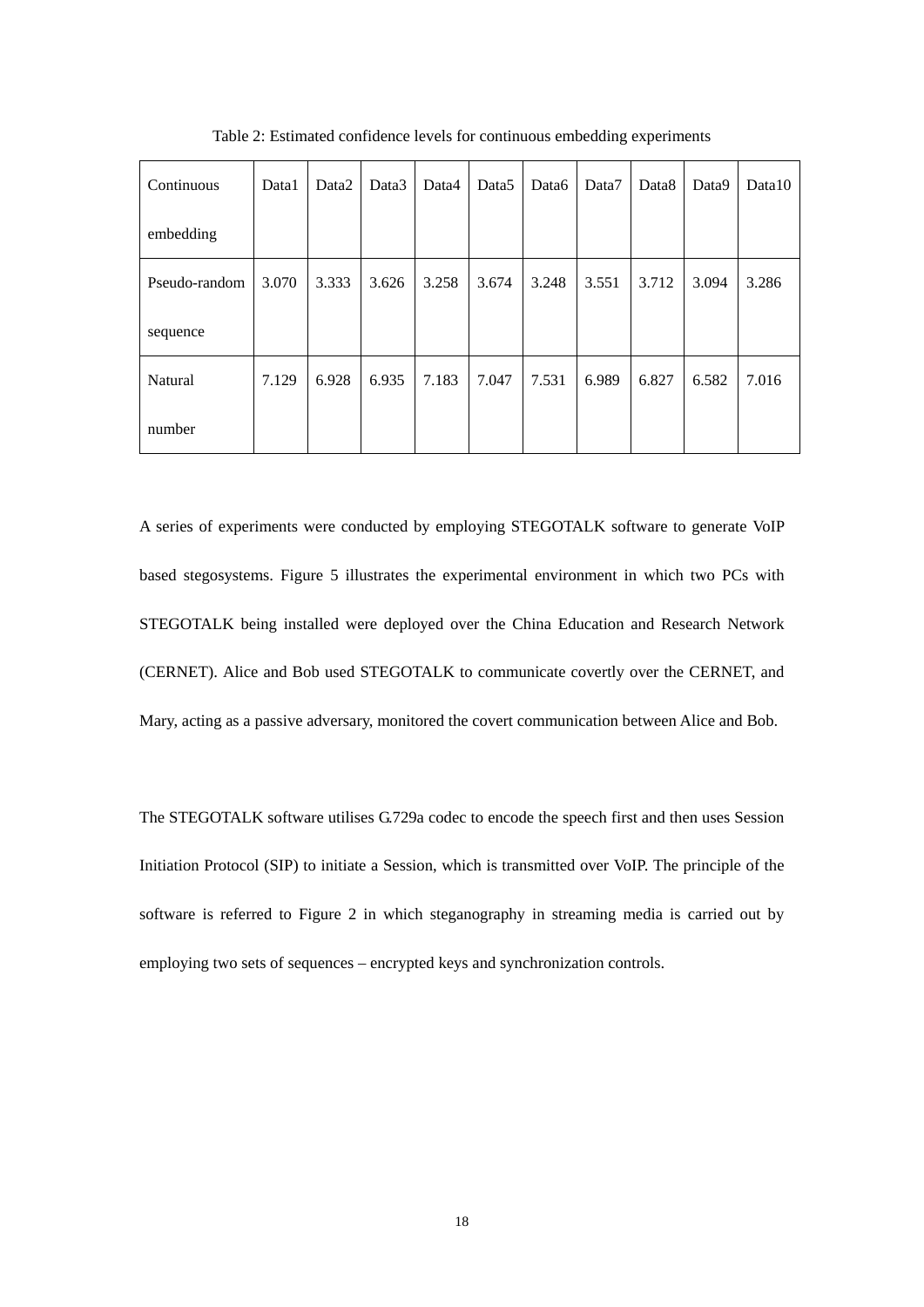| Continuous    | Data1 | Data <sub>2</sub> | Data3 | Data4 | Data <sub>5</sub> | Data6 | Data7 | Data <sub>8</sub> | Data9 | Data10 |
|---------------|-------|-------------------|-------|-------|-------------------|-------|-------|-------------------|-------|--------|
| embedding     |       |                   |       |       |                   |       |       |                   |       |        |
| Pseudo-random | 3.070 | 3.333             | 3.626 | 3.258 | 3.674             | 3.248 | 3.551 | 3.712             | 3.094 | 3.286  |
| sequence      |       |                   |       |       |                   |       |       |                   |       |        |
| Natural       | 7.129 | 6.928             | 6.935 | 7.183 | 7.047             | 7.531 | 6.989 | 6.827             | 6.582 | 7.016  |
| number        |       |                   |       |       |                   |       |       |                   |       |        |

Table 2: Estimated confidence levels for continuous embedding experiments

A series of experiments were conducted by employing STEGOTALK software to generate VoIP based stegosystems. Figure 5 illustrates the experimental environment in which two PCs with STEGOTALK being installed were deployed over the China Education and Research Network (CERNET). Alice and Bob used STEGOTALK to communicate covertly over the CERNET, and Mary, acting as a passive adversary, monitored the covert communication between Alice and Bob.

The STEGOTALK software utilises G.729a codec to encode the speech first and then uses Session Initiation Protocol (SIP) to initiate a Session, which is transmitted over VoIP. The principle of the software is referred to Figure 2 in which steganography in streaming media is carried out by employing two sets of sequences – encrypted keys and synchronization controls.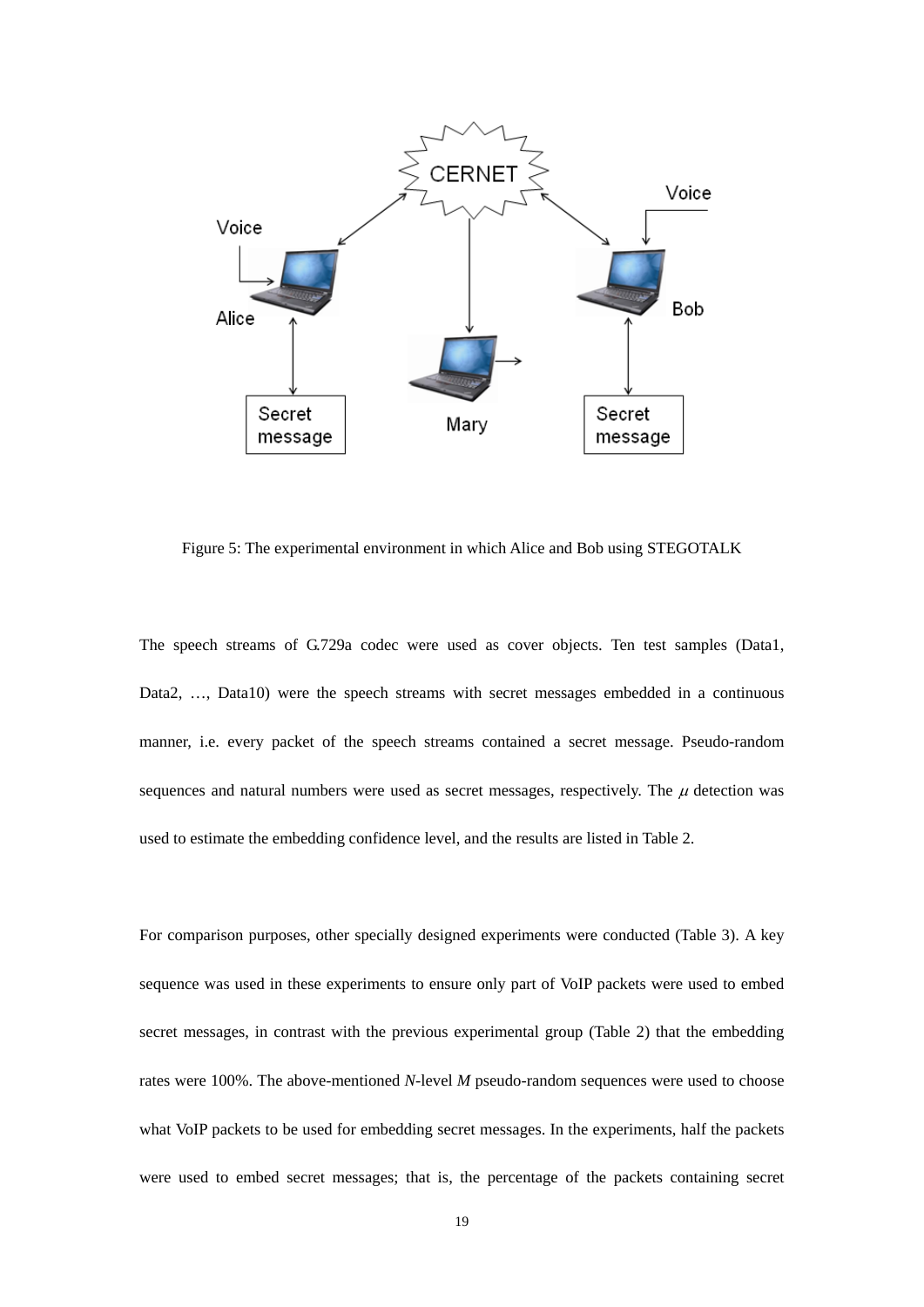

Figure 5: The experimental environment in which Alice and Bob using STEGOTALK

The speech streams of G.729a codec were used as cover objects. Ten test samples (Data1, Data2, …, Data10) were the speech streams with secret messages embedded in a continuous manner, i.e. every packet of the speech streams contained a secret message. Pseudo-random sequences and natural numbers were used as secret messages, respectively. The  $\mu$  detection was used to estimate the embedding confidence level, and the results are listed in Table 2.

For comparison purposes, other specially designed experiments were conducted (Table 3). A key sequence was used in these experiments to ensure only part of VoIP packets were used to embed secret messages, in contrast with the previous experimental group (Table 2) that the embedding rates were 100%. The above-mentioned *N*-level *M* pseudo-random sequences were used to choose what VoIP packets to be used for embedding secret messages. In the experiments, half the packets were used to embed secret messages; that is, the percentage of the packets containing secret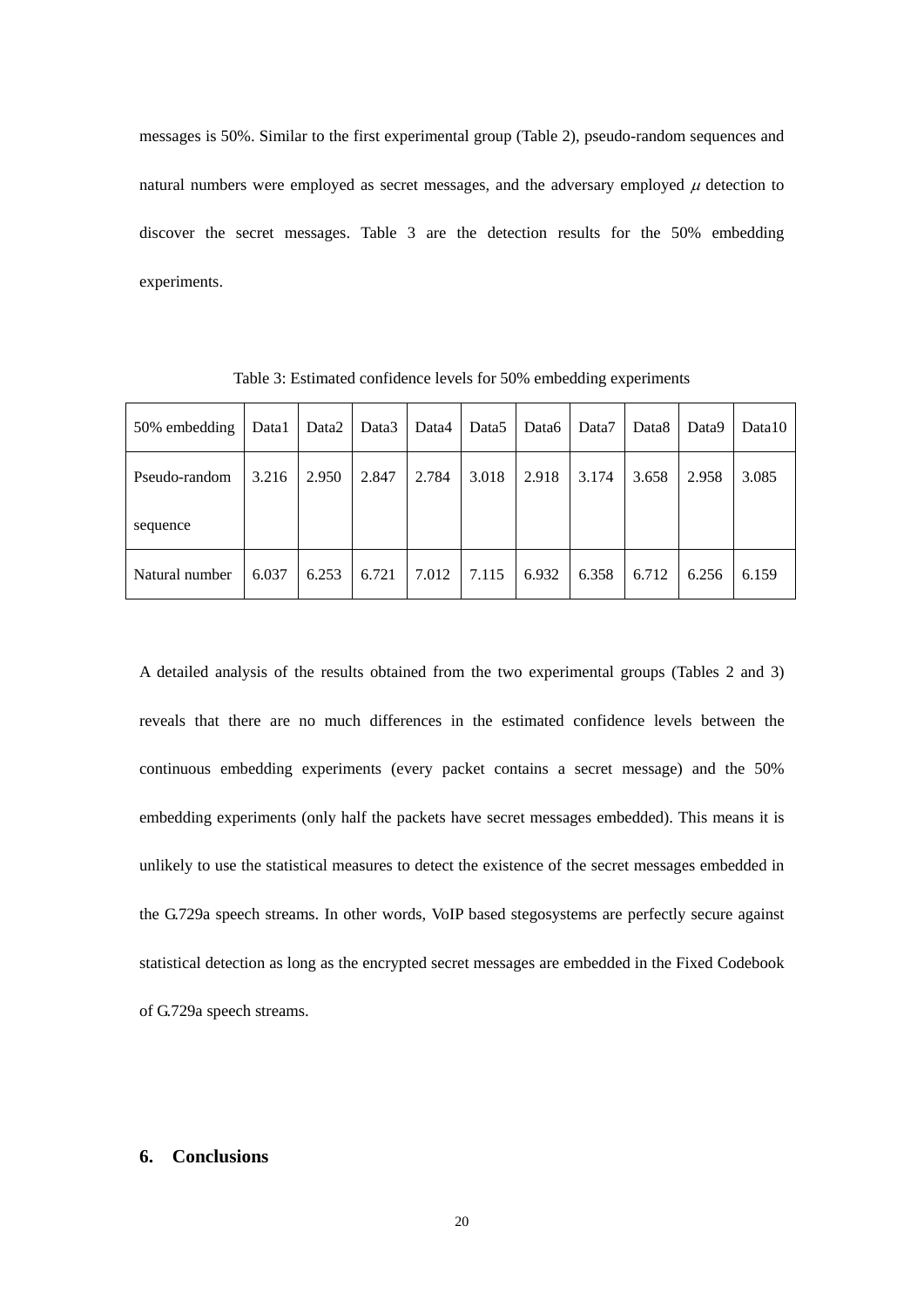messages is 50%. Similar to the first experimental group (Table 2), pseudo-random sequences and natural numbers were employed as secret messages, and the adversary employed  $\mu$  detection to discover the secret messages. Table 3 are the detection results for the 50% embedding experiments.

| 50% embedding  | Data1 | Data2 | Data3 | Data4 | Data5 | Data6 | Data7 | Data8 | Data9 | Data10 |
|----------------|-------|-------|-------|-------|-------|-------|-------|-------|-------|--------|
| Pseudo-random  | 3.216 | 2.950 | 2.847 | 2.784 | 3.018 | 2.918 | 3.174 | 3.658 | 2.958 | 3.085  |
| sequence       |       |       |       |       |       |       |       |       |       |        |
| Natural number | 6.037 | 6.253 | 6.721 | 7.012 | 7.115 | 6.932 | 6.358 | 6.712 | 6.256 | 6.159  |

Table 3: Estimated confidence levels for 50% embedding experiments

A detailed analysis of the results obtained from the two experimental groups (Tables 2 and 3) reveals that there are no much differences in the estimated confidence levels between the continuous embedding experiments (every packet contains a secret message) and the 50% embedding experiments (only half the packets have secret messages embedded). This means it is unlikely to use the statistical measures to detect the existence of the secret messages embedded in the G.729a speech streams. In other words, VoIP based stegosystems are perfectly secure against statistical detection as long as the encrypted secret messages are embedded in the Fixed Codebook of G.729a speech streams.

## **6. Conclusions**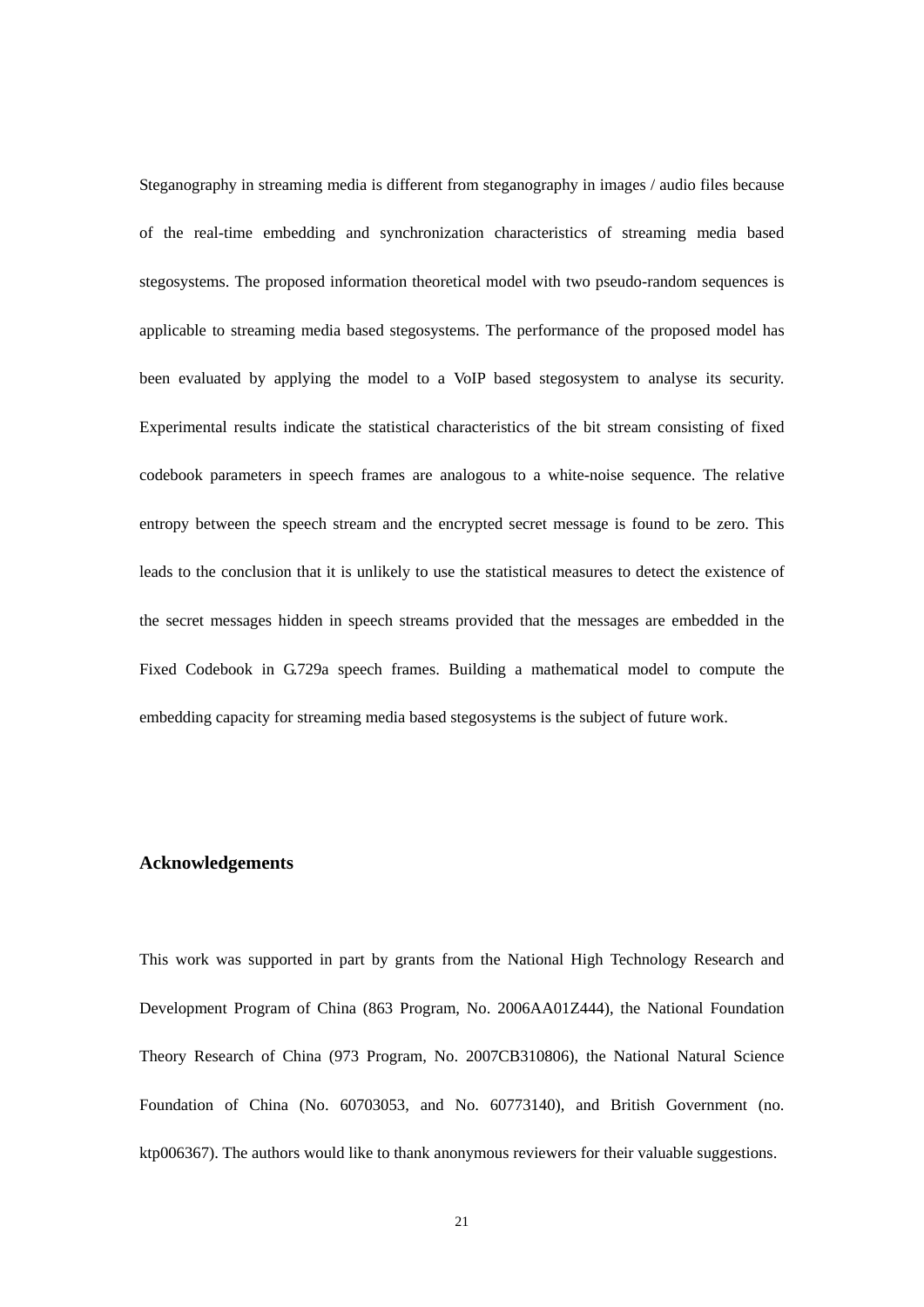Steganography in streaming media is different from steganography in images / audio files because of the real-time embedding and synchronization characteristics of streaming media based stegosystems. The proposed information theoretical model with two pseudo-random sequences is applicable to streaming media based stegosystems. The performance of the proposed model has been evaluated by applying the model to a VoIP based stegosystem to analyse its security. Experimental results indicate the statistical characteristics of the bit stream consisting of fixed codebook parameters in speech frames are analogous to a white-noise sequence. The relative entropy between the speech stream and the encrypted secret message is found to be zero. This leads to the conclusion that it is unlikely to use the statistical measures to detect the existence of the secret messages hidden in speech streams provided that the messages are embedded in the Fixed Codebook in G.729a speech frames. Building a mathematical model to compute the embedding capacity for streaming media based stegosystems is the subject of future work.

#### **Acknowledgements**

This work was supported in part by grants from the National High Technology Research and Development Program of China (863 Program, No. 2006AA01Z444), the National Foundation Theory Research of China (973 Program, No. 2007CB310806), the National Natural Science Foundation of China (No. 60703053, and No. 60773140), and British Government (no. ktp006367). The authors would like to thank anonymous reviewers for their valuable suggestions.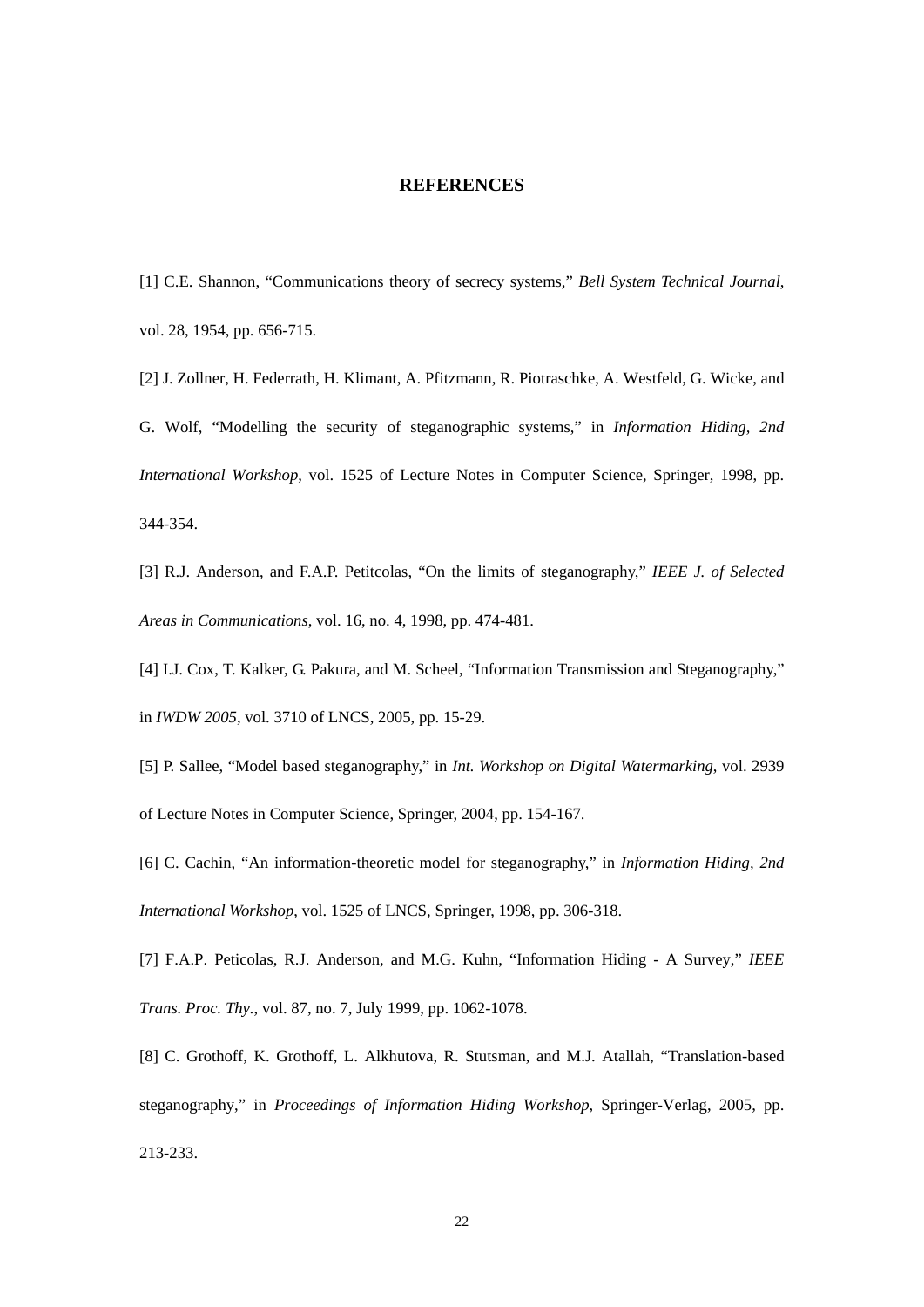#### **REFERENCES**

[1] C.E. Shannon, "Communications theory of secrecy systems," *Bell System Technical Journal*, vol. 28, 1954, pp. 656-715.

[2] J. Zollner, H. Federrath, H. Klimant, A. Pfitzmann, R. Piotraschke, A. Westfeld, G. Wicke, and G. Wolf, "Modelling the security of steganographic systems," in *Information Hiding, 2nd International Workshop*, vol. 1525 of Lecture Notes in Computer Science, Springer, 1998, pp. 344-354.

[3] R.J. Anderson, and F.A.P. Petitcolas, "On the limits of steganography," *IEEE J. of Selected Areas in Communications*, vol. 16, no. 4, 1998, pp. 474-481.

[4] I.J. Cox, T. Kalker, G. Pakura, and M. Scheel, "Information Transmission and Steganography," in *IWDW 2005*, vol. 3710 of LNCS, 2005, pp. 15-29.

[5] P. Sallee, "Model based steganography," in *Int. Workshop on Digital Watermarking*, vol. 2939 of Lecture Notes in Computer Science, Springer, 2004, pp. 154-167.

[6] C. Cachin, "An information-theoretic model for steganography," in *Information Hiding, 2nd International Workshop*, vol. 1525 of LNCS, Springer, 1998, pp. 306-318.

[7] F.A.P. Peticolas, R.J. Anderson, and M.G. Kuhn, "Information Hiding - A Survey," *IEEE Trans. Proc. Thy.*, vol. 87, no. 7, July 1999, pp. 1062-1078.

[8] C. Grothoff, K. Grothoff, L. Alkhutova, R. Stutsman, and M.J. Atallah, "Translation-based steganography," in *Proceedings of Information Hiding Workshop*, Springer-Verlag, 2005, pp. 213-233.